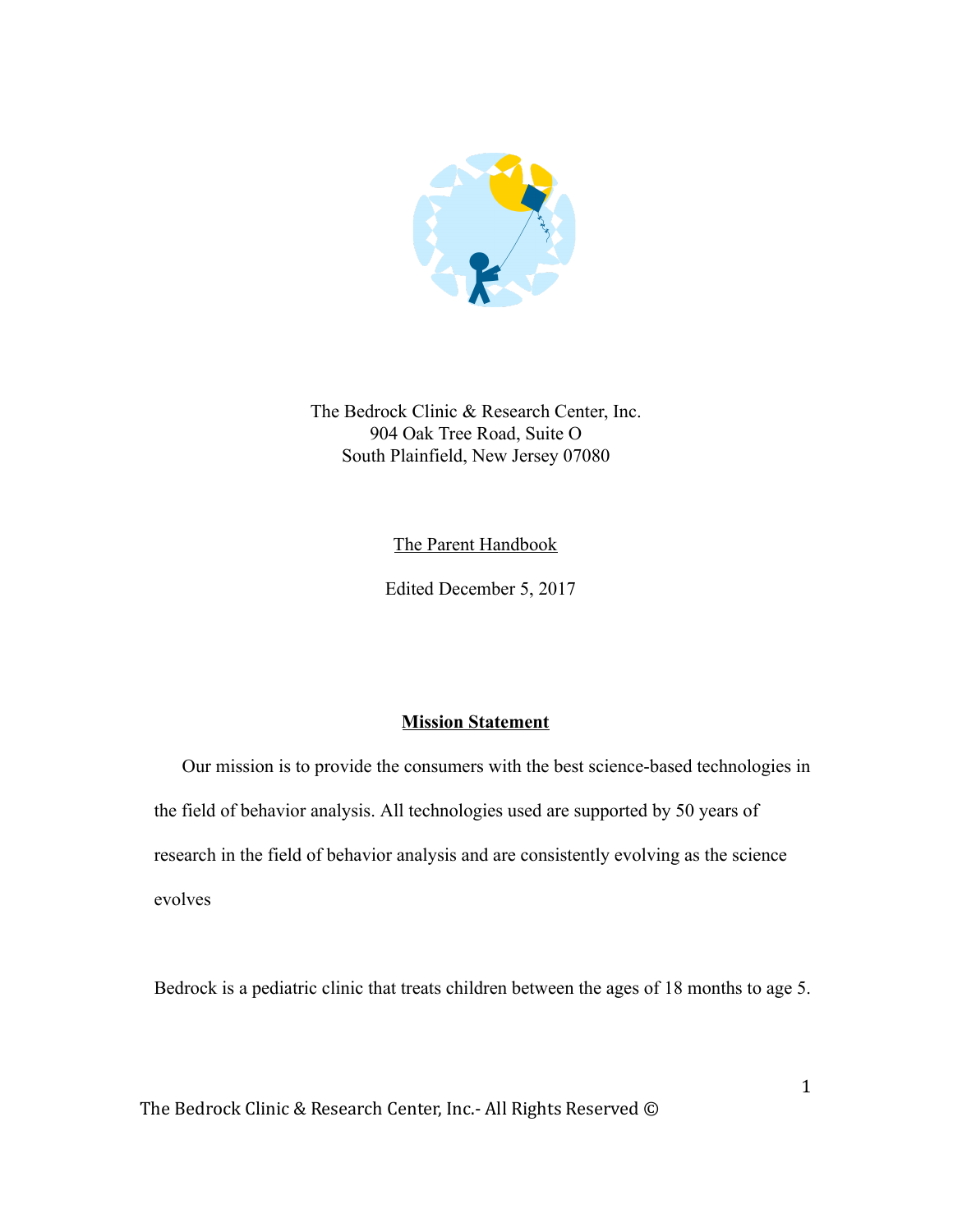

The Bedrock Clinic & Research Center, Inc. 904 Oak Tree Road, Suite O South Plainfield, New Jersey 07080

The Parent Handbook

Edited December 5, 2017

## Mission Statement

 Our mission is to provide the consumers with the best science-based technologies in the field of behavior analysis. All technologies used are supported by 50 years of research in the field of behavior analysis and are consistently evolving as the science evolves

Bedrock is a pediatric clinic that treats children between the ages of 18 months to age 5.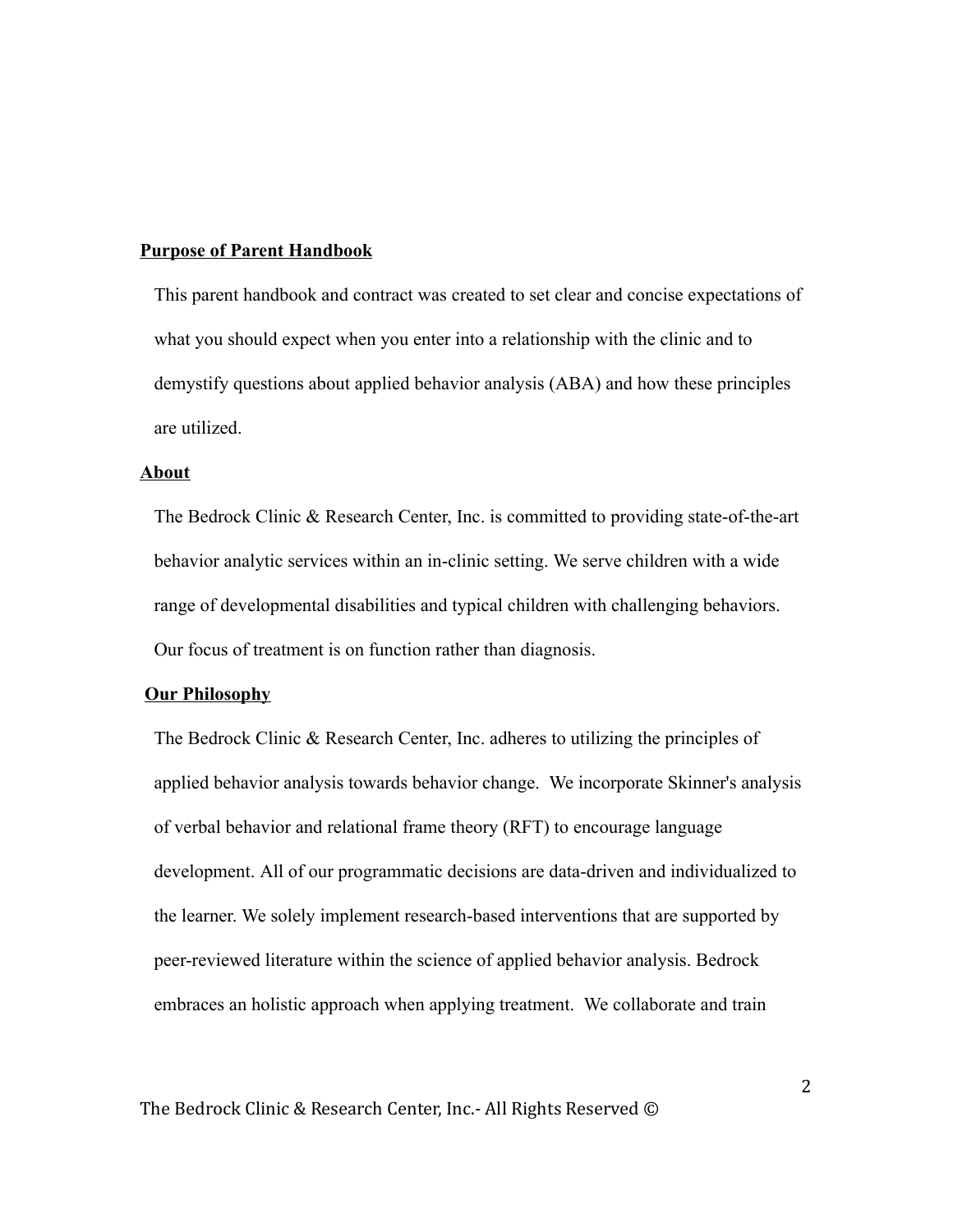#### Purpose of Parent Handbook

This parent handbook and contract was created to set clear and concise expectations of what you should expect when you enter into a relationship with the clinic and to demystify questions about applied behavior analysis (ABA) and how these principles are utilized.

#### About

The Bedrock Clinic & Research Center, Inc. is committed to providing state-of-the-art behavior analytic services within an in-clinic setting. We serve children with a wide range of developmental disabilities and typical children with challenging behaviors. Our focus of treatment is on function rather than diagnosis.

#### **Our Philosophy**

The Bedrock Clinic & Research Center, Inc. adheres to utilizing the principles of applied behavior analysis towards behavior change. We incorporate Skinner's analysis of verbal behavior and relational frame theory (RFT) to encourage language development. All of our programmatic decisions are data-driven and individualized to the learner. We solely implement research-based interventions that are supported by peer-reviewed literature within the science of applied behavior analysis. Bedrock embraces an holistic approach when applying treatment. We collaborate and train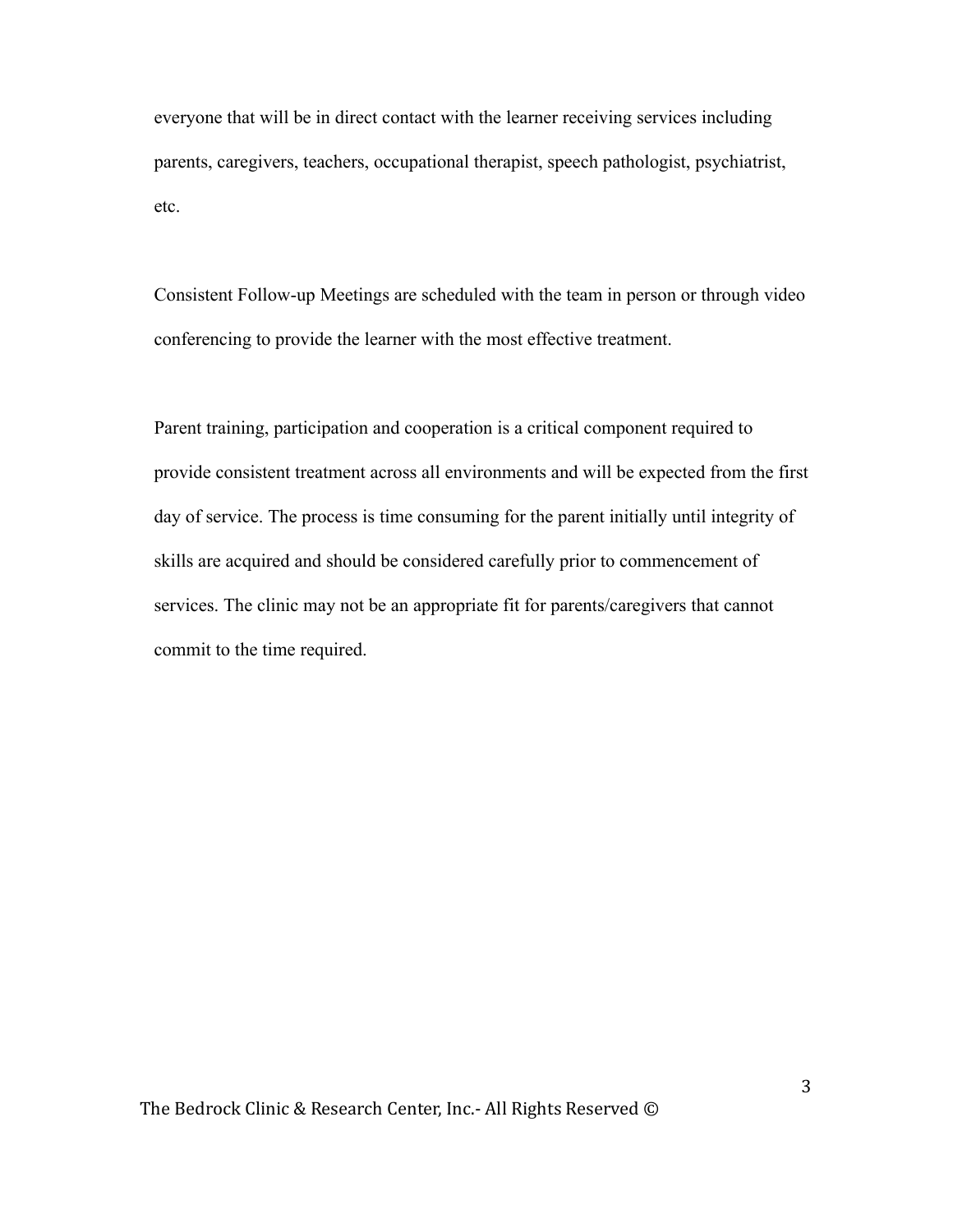everyone that will be in direct contact with the learner receiving services including parents, caregivers, teachers, occupational therapist, speech pathologist, psychiatrist, etc.

Consistent Follow-up Meetings are scheduled with the team in person or through video conferencing to provide the learner with the most effective treatment.

Parent training, participation and cooperation is a critical component required to provide consistent treatment across all environments and will be expected from the first day of service. The process is time consuming for the parent initially until integrity of skills are acquired and should be considered carefully prior to commencement of services. The clinic may not be an appropriate fit for parents/caregivers that cannot commit to the time required.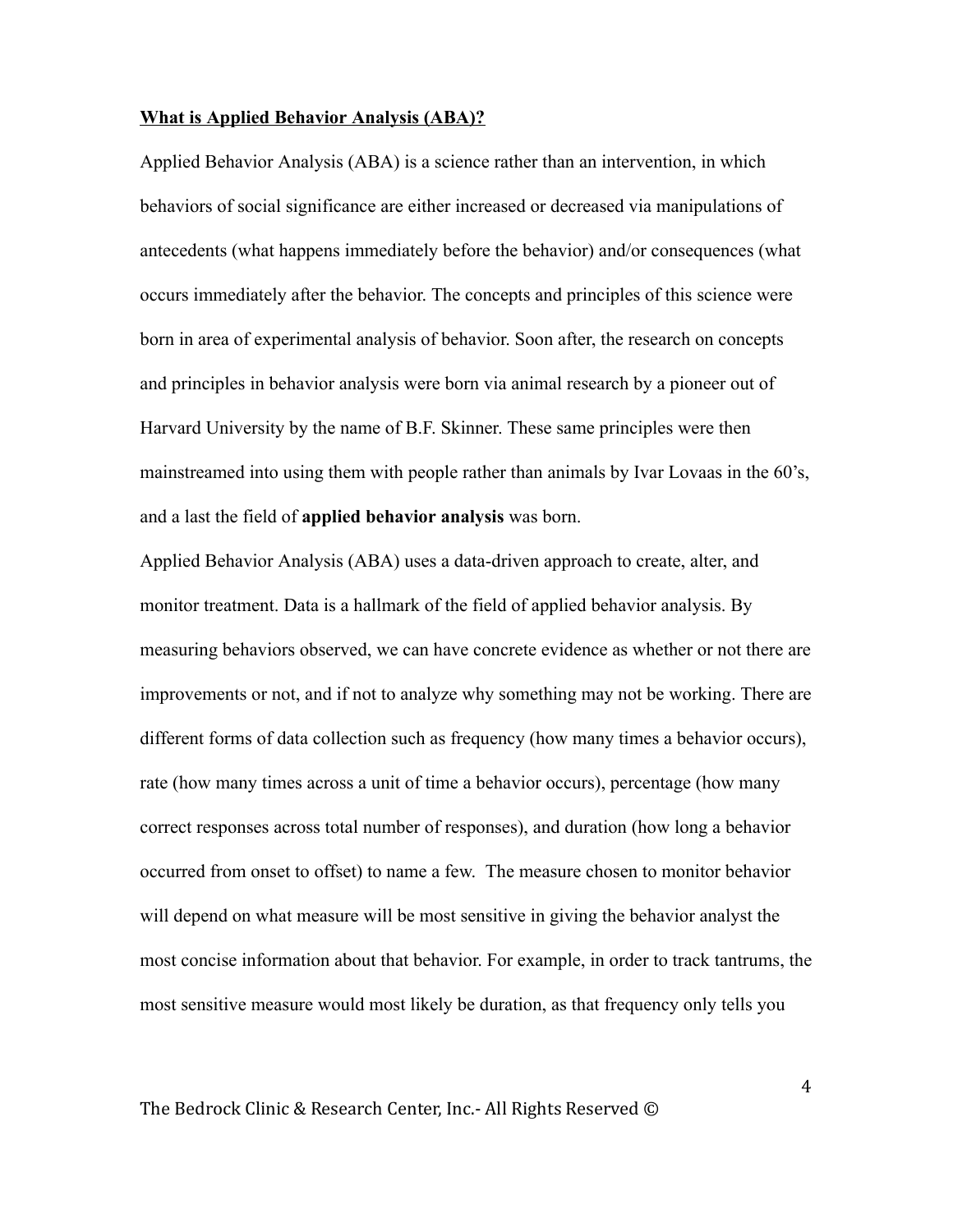#### What is Applied Behavior Analysis (ABA)?

Applied Behavior Analysis (ABA) is a science rather than an intervention, in which behaviors of social significance are either increased or decreased via manipulations of antecedents (what happens immediately before the behavior) and/or consequences (what occurs immediately after the behavior. The concepts and principles of this science were born in area of experimental analysis of behavior. Soon after, the research on concepts and principles in behavior analysis were born via animal research by a pioneer out of Harvard University by the name of B.F. Skinner. These same principles were then mainstreamed into using them with people rather than animals by Ivar Lovaas in the 60's, and a last the field of applied behavior analysis was born.

Applied Behavior Analysis (ABA) uses a data-driven approach to create, alter, and monitor treatment. Data is a hallmark of the field of applied behavior analysis. By measuring behaviors observed, we can have concrete evidence as whether or not there are improvements or not, and if not to analyze why something may not be working. There are different forms of data collection such as frequency (how many times a behavior occurs), rate (how many times across a unit of time a behavior occurs), percentage (how many correct responses across total number of responses), and duration (how long a behavior occurred from onset to offset) to name a few. The measure chosen to monitor behavior will depend on what measure will be most sensitive in giving the behavior analyst the most concise information about that behavior. For example, in order to track tantrums, the most sensitive measure would most likely be duration, as that frequency only tells you

The Bedrock Clinic & Research Center, Inc.- All Rights Reserved ©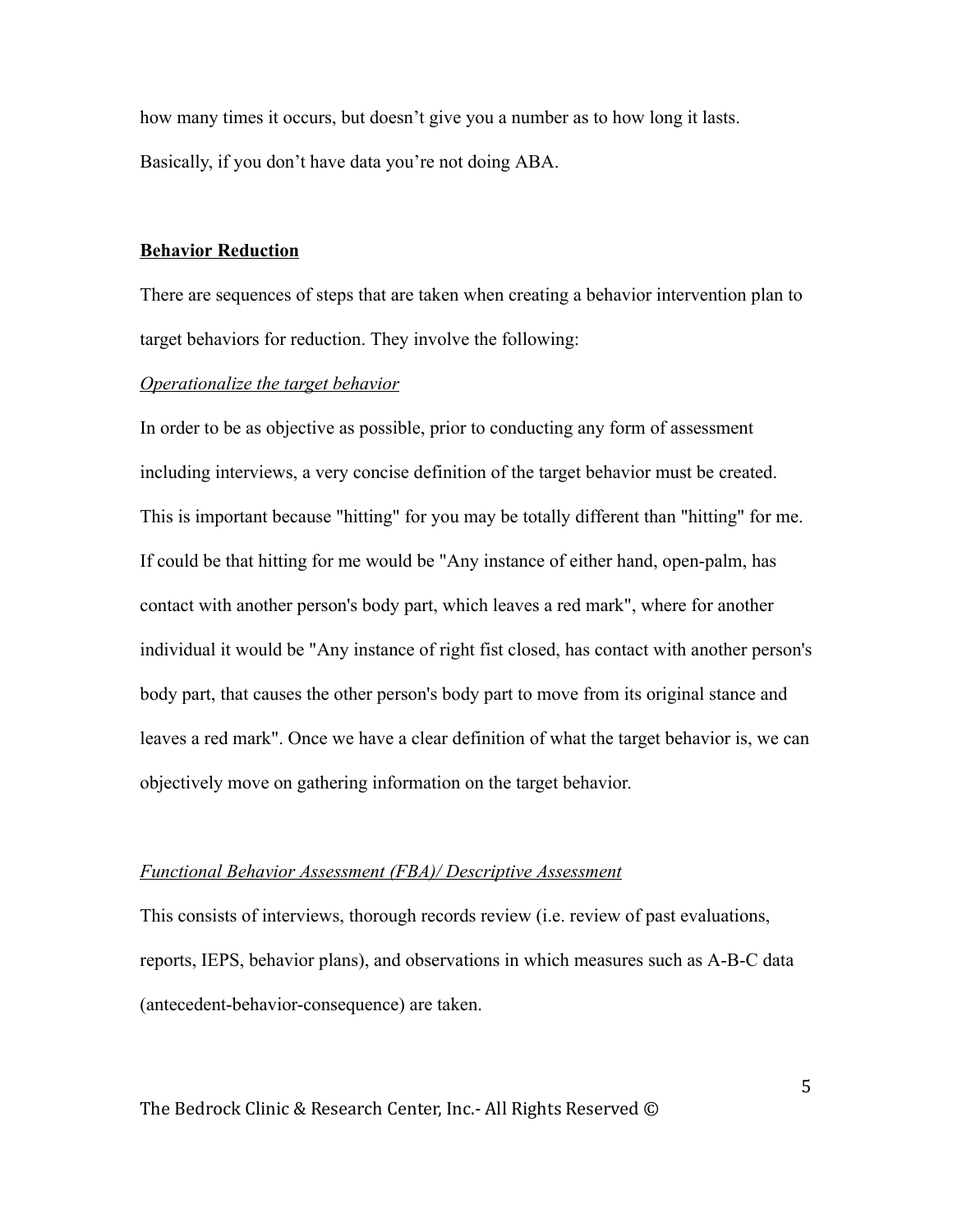how many times it occurs, but doesn't give you a number as to how long it lasts. Basically, if you don't have data you're not doing ABA.

#### Behavior Reduction

There are sequences of steps that are taken when creating a behavior intervention plan to target behaviors for reduction. They involve the following:

### *Operationalize the target behavior*

In order to be as objective as possible, prior to conducting any form of assessment including interviews, a very concise definition of the target behavior must be created. This is important because "hitting" for you may be totally different than "hitting" for me. If could be that hitting for me would be "Any instance of either hand, open-palm, has contact with another person's body part, which leaves a red mark", where for another individual it would be "Any instance of right fist closed, has contact with another person's body part, that causes the other person's body part to move from its original stance and leaves a red mark". Once we have a clear definition of what the target behavior is, we can objectively move on gathering information on the target behavior.

#### *Functional Behavior Assessment (FBA)/ Descriptive Assessment*

This consists of interviews, thorough records review (i.e. review of past evaluations, reports, IEPS, behavior plans), and observations in which measures such as A-B-C data (antecedent-behavior-consequence) are taken.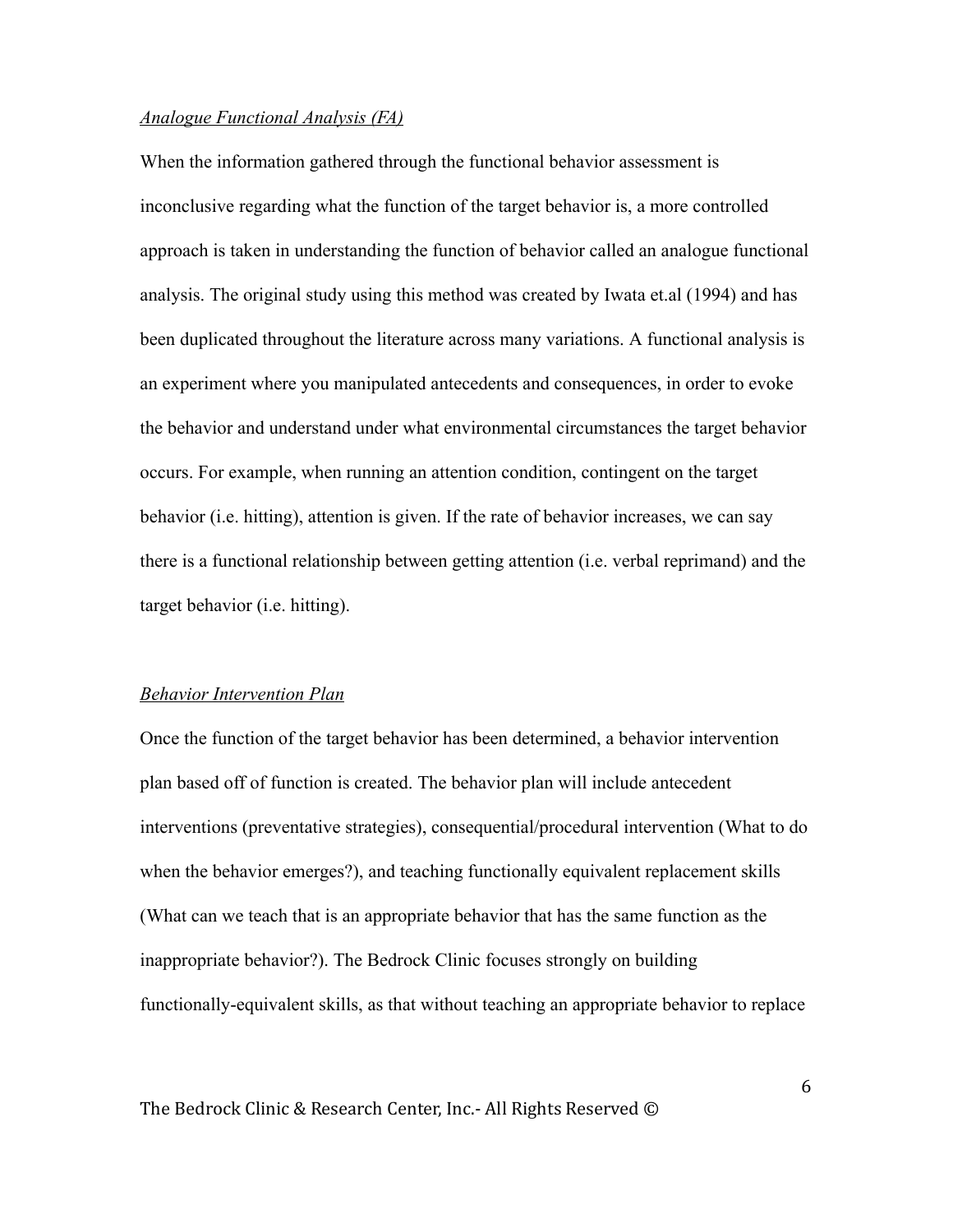# *Analogue Functional Analysis (FA)*

When the information gathered through the functional behavior assessment is inconclusive regarding what the function of the target behavior is, a more controlled approach is taken in understanding the function of behavior called an analogue functional analysis. The original study using this method was created by Iwata et.al (1994) and has been duplicated throughout the literature across many variations. A functional analysis is an experiment where you manipulated antecedents and consequences, in order to evoke the behavior and understand under what environmental circumstances the target behavior occurs. For example, when running an attention condition, contingent on the target behavior (i.e. hitting), attention is given. If the rate of behavior increases, we can say there is a functional relationship between getting attention (i.e. verbal reprimand) and the target behavior (i.e. hitting).

#### *Behavior Intervention Plan*

Once the function of the target behavior has been determined, a behavior intervention plan based off of function is created. The behavior plan will include antecedent interventions (preventative strategies), consequential/procedural intervention (What to do when the behavior emerges?), and teaching functionally equivalent replacement skills (What can we teach that is an appropriate behavior that has the same function as the inappropriate behavior?). The Bedrock Clinic focuses strongly on building functionally-equivalent skills, as that without teaching an appropriate behavior to replace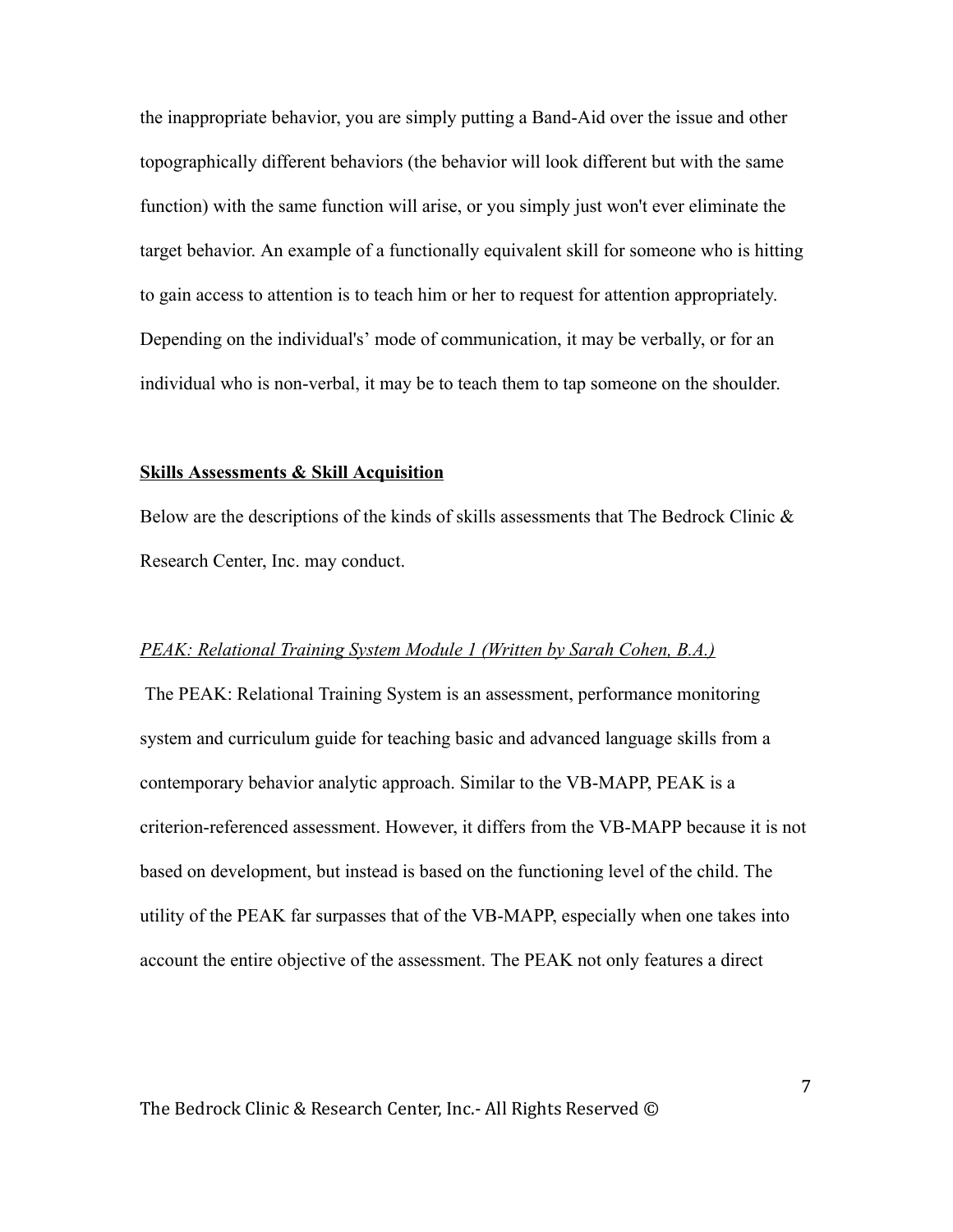the inappropriate behavior, you are simply putting a Band-Aid over the issue and other topographically different behaviors (the behavior will look different but with the same function) with the same function will arise, or you simply just won't ever eliminate the target behavior. An example of a functionally equivalent skill for someone who is hitting to gain access to attention is to teach him or her to request for attention appropriately. Depending on the individual's' mode of communication, it may be verbally, or for an individual who is non-verbal, it may be to teach them to tap someone on the shoulder.

#### Skills Assessments & Skill Acquisition

Below are the descriptions of the kinds of skills assessments that The Bedrock Clinic  $\&$ Research Center, Inc. may conduct.

#### *PEAK: Relational Training System Module 1 (Written by Sarah Cohen, B.A.)*

 The PEAK: Relational Training System is an assessment, performance monitoring system and curriculum guide for teaching basic and advanced language skills from a contemporary behavior analytic approach. Similar to the VB-MAPP, PEAK is a criterion-referenced assessment. However, it differs from the VB-MAPP because it is not based on development, but instead is based on the functioning level of the child. The utility of the PEAK far surpasses that of the VB-MAPP, especially when one takes into account the entire objective of the assessment. The PEAK not only features a direct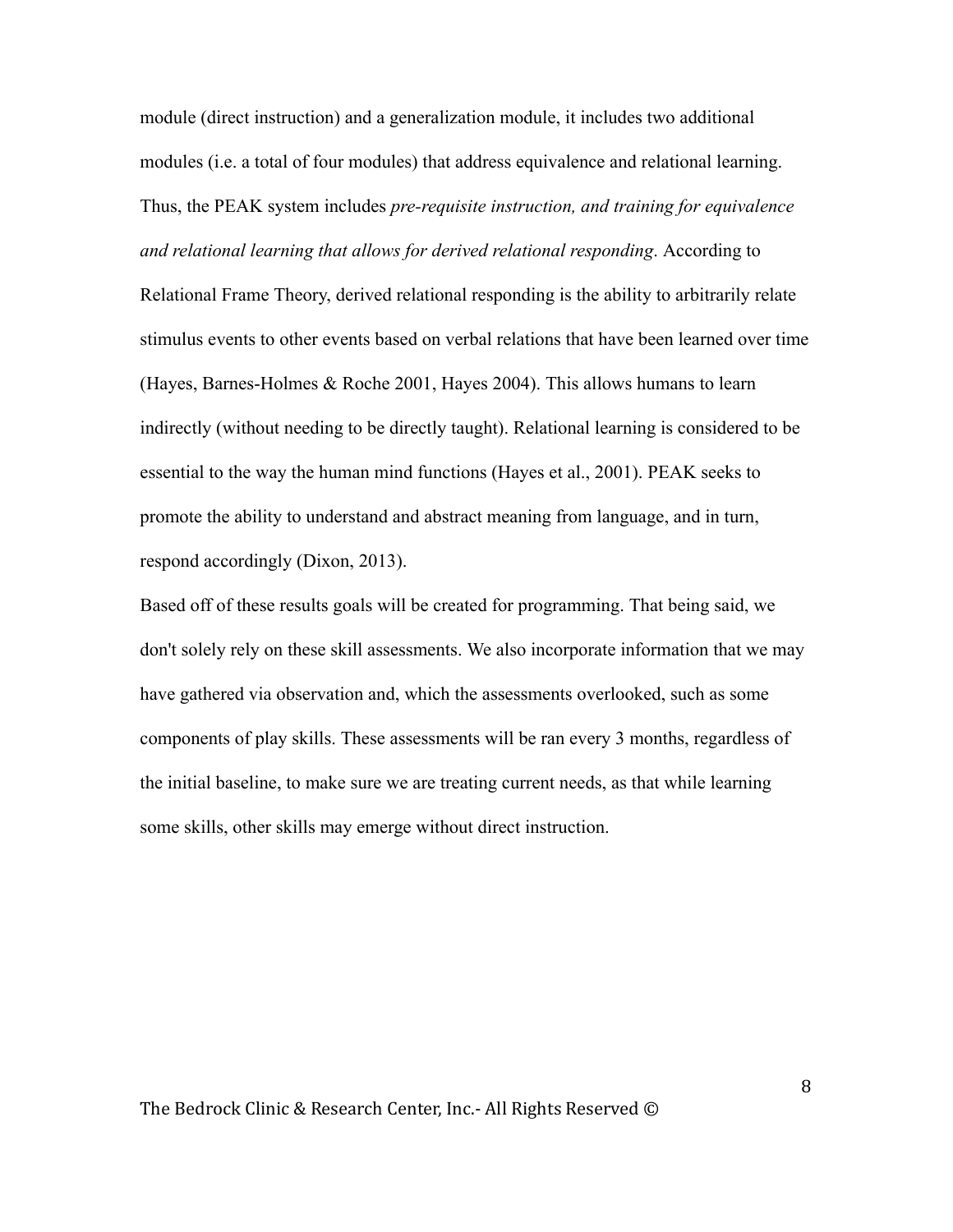module (direct instruction) and a generalization module, it includes two additional modules (i.e. a total of four modules) that address equivalence and relational learning. Thus, the PEAK system includes *pre-requisite instruction, and training for equivalence and relational learning that allows for derived relational responding* . According to Relational Frame Theory, derived relational responding is the ability to arbitrarily relate stimulus events to other events based on verbal relations that have been learned over time (Hayes, Barnes-Holmes & Roche 2001, Hayes 2004). This allows humans to learn indirectly (without needing to be directly taught). Relational learning is considered to be essential to the way the human mind functions (Hayes et al., 2001). PEAK seeks to promote the ability to understand and abstract meaning from language, and in turn, respond accordingly (Dixon, 2013).

Based off of these results goals will be created for programming. That being said, we don't solely rely on these skill assessments. We also incorporate information that we may have gathered via observation and, which the assessments overlooked, such as some components of play skills. These assessments will be ran every 3 months, regardless of the initial baseline, to make sure we are treating current needs, as that while learning some skills, other skills may emerge without direct instruction.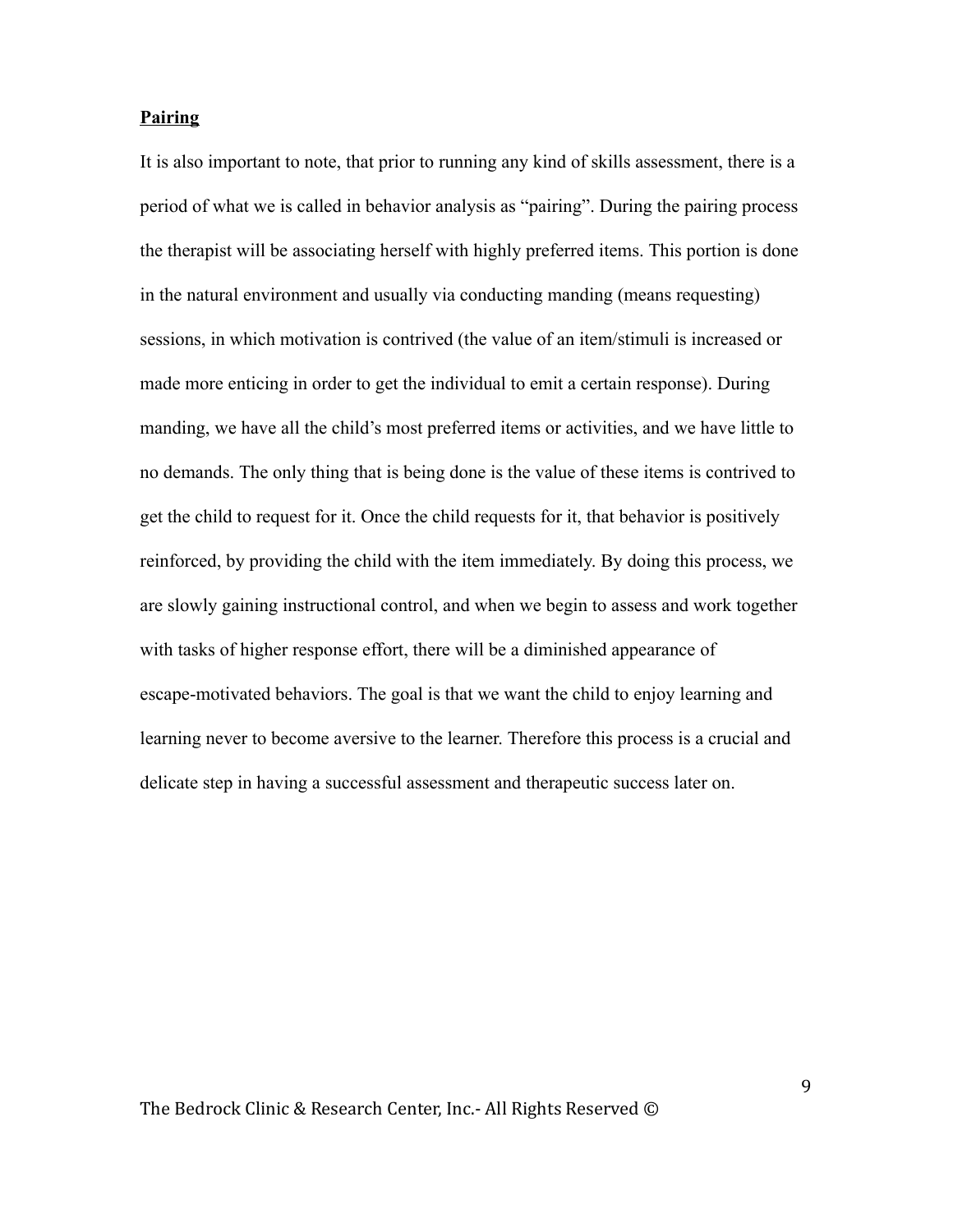### Pairing

It is also important to note, that prior to running any kind of skills assessment, there is a period of what we is called in behavior analysis as "pairing". During the pairing process the therapist will be associating herself with highly preferred items. This portion is done in the natural environment and usually via conducting manding (means requesting) sessions, in which motivation is contrived (the value of an item/stimuli is increased or made more enticing in order to get the individual to emit a certain response). During manding, we have all the child's most preferred items or activities, and we have little to no demands. The only thing that is being done is the value of these items is contrived to get the child to request for it. Once the child requests for it, that behavior is positively reinforced, by providing the child with the item immediately. By doing this process, we are slowly gaining instructional control, and when we begin to assess and work together with tasks of higher response effort, there will be a diminished appearance of escape-motivated behaviors. The goal is that we want the child to enjoy learning and learning never to become aversive to the learner. Therefore this process is a crucial and delicate step in having a successful assessment and therapeutic success later on.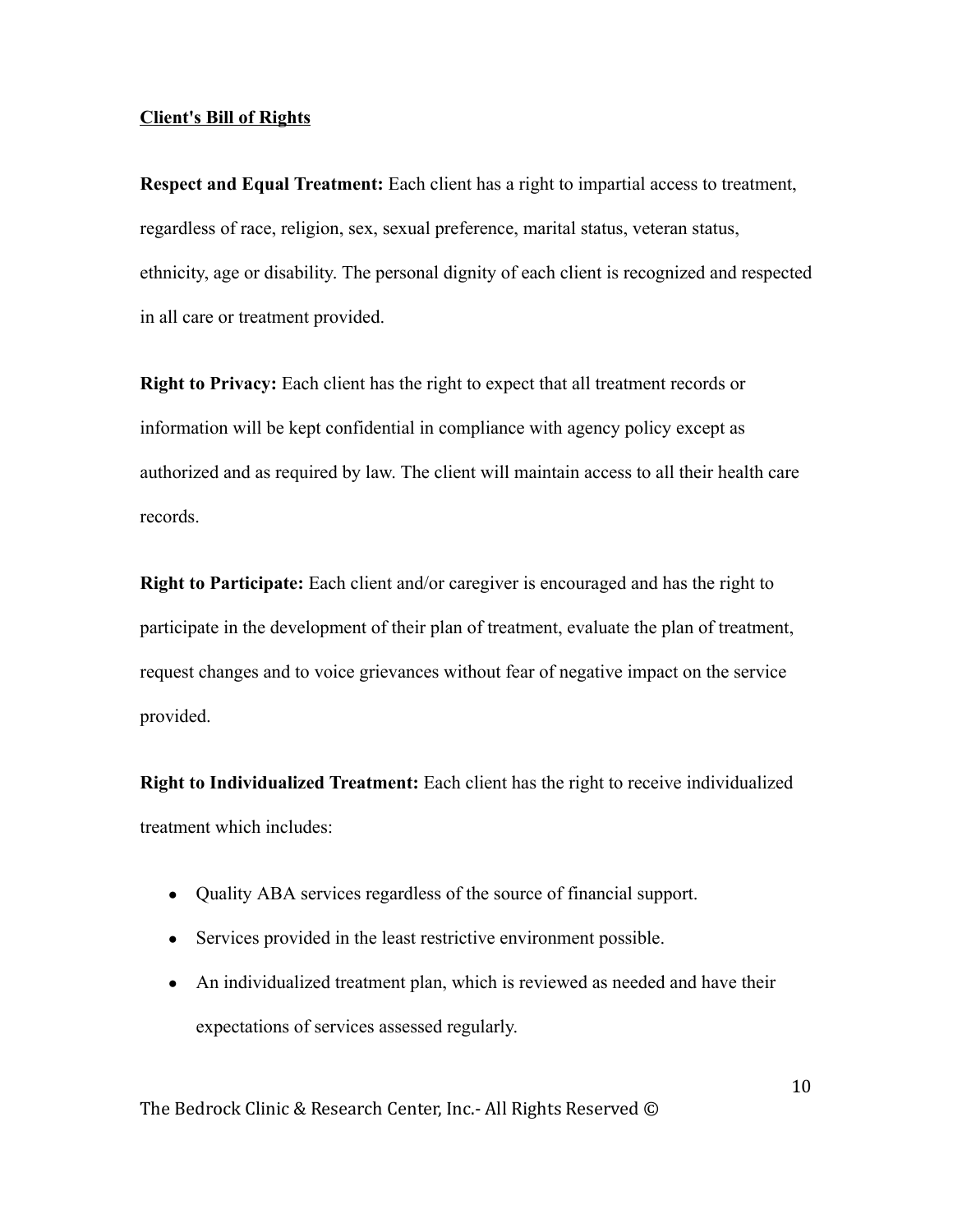### Client's Bill of Rights

Respect and Equal Treatment: Each client has a right to impartial access to treatment, regardless of race, religion, sex, sexual preference, marital status, veteran status, ethnicity, age or disability. The personal dignity of each client is recognized and respected in all care or treatment provided.

Right to Privacy: Each client has the right to expect that all treatment records or information will be kept confidential in compliance with agency policy except as authorized and as required by law. The client will maintain access to all their health care records.

Right to Participate: Each client and/or caregiver is encouraged and has the right to participate in the development of their plan of treatment, evaluate the plan of treatment, request changes and to voice grievances without fear of negative impact on the service provided.

Right to Individualized Treatment: Each client has the right to receive individualized treatment which includes:

- Quality ABA services regardless of the source of financial support.
- Services provided in the least restrictive environment possible.
- An individualized treatment plan, which is reviewed as needed and have their expectations of services assessed regularly.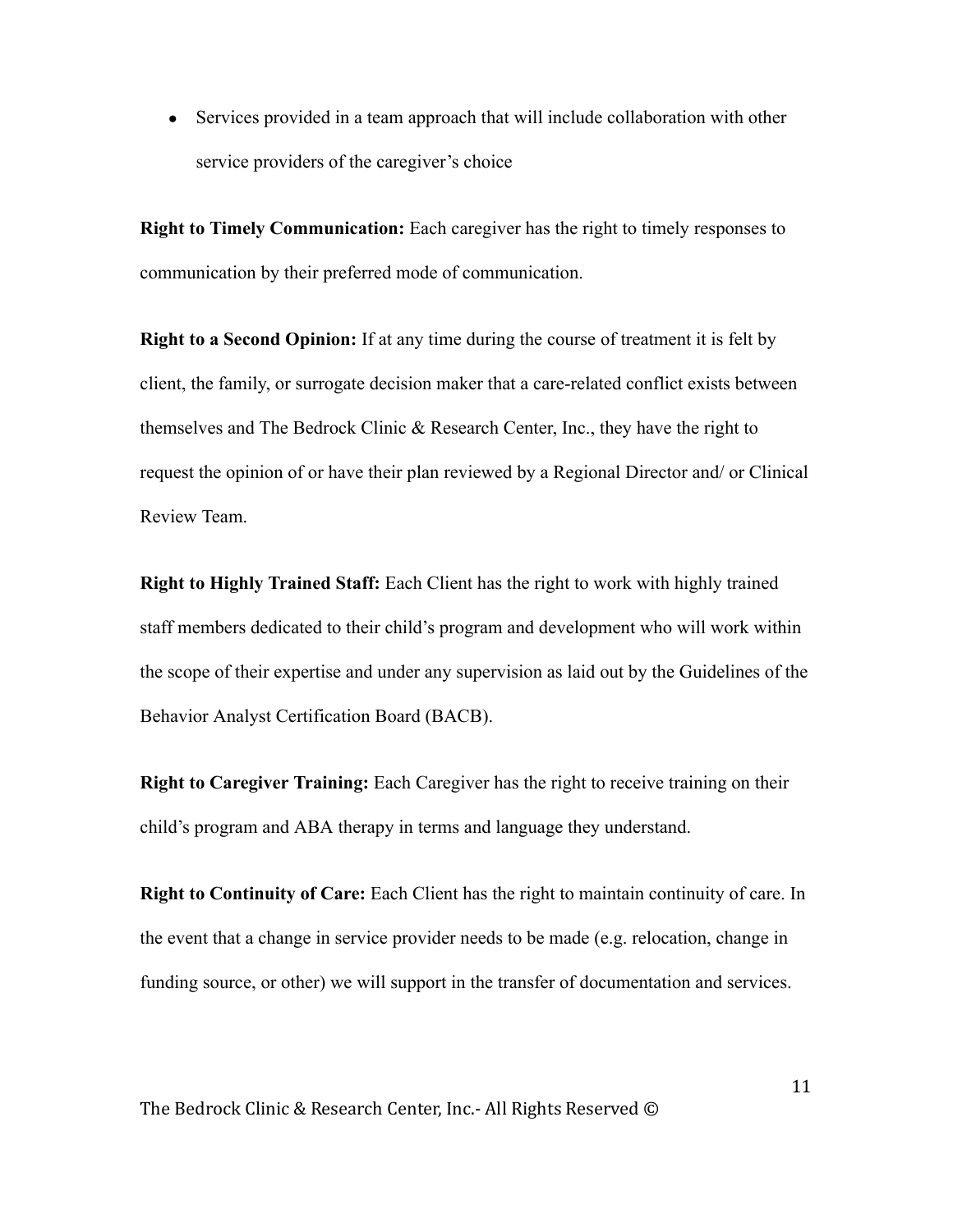• Services provided in a team approach that will include collaboration with other service providers of the caregiver's choice

Right to Timely Communication: Each caregiver has the right to timely responses to communication by their preferred mode of communication.

Right to a Second Opinion: If at any time during the course of treatment it is felt by client, the family, or surrogate decision maker that a care-related conflict exists between themselves and The Bedrock Clinic & Research Center, Inc., they have the right to request the opinion of or have their plan reviewed by a Regional Director and/ or Clinical Review Team.

Right to Highly Trained Staff: Each Client has the right to work with highly trained staff members dedicated to their child's program and development who will work within the scope of their expertise and under any supervision as laid out by the Guidelines of the Behavior Analyst Certification Board (BACB).

Right to Caregiver Training: Each Caregiver has the right to receive training on their child's program and ABA therapy in terms and language they understand.

Right to Continuity of Care: Each Client has the right to maintain continuity of care. In the event that a change in service provider needs to be made (e.g. relocation, change in funding source, or other) we will support in the transfer of documentation and services.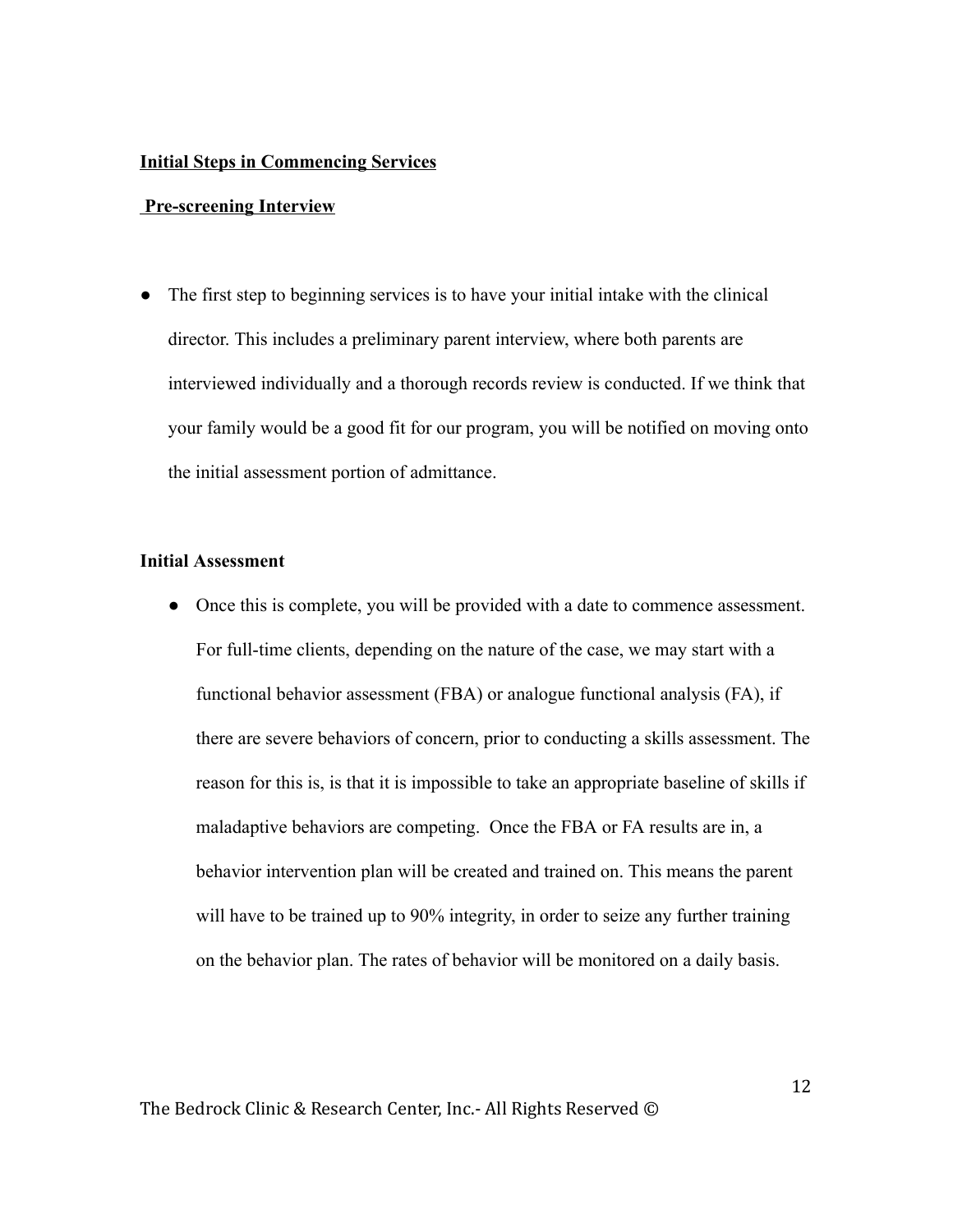#### Initial Steps in Commencing Services

#### Pre-screening Interview

• The first step to beginning services is to have your initial intake with the clinical director. This includes a preliminary parent interview, where both parents are interviewed individually and a thorough records review is conducted. If we think that your family would be a good fit for our program, you will be notified on moving onto the initial assessment portion of admittance.

# Initial Assessment

● Once this is complete, you will be provided with a date to commence assessment. For full-time clients, depending on the nature of the case, we may start with a functional behavior assessment (FBA) or analogue functional analysis (FA), if there are severe behaviors of concern, prior to conducting a skills assessment. The reason for this is, is that it is impossible to take an appropriate baseline of skills if maladaptive behaviors are competing. Once the FBA or FA results are in, a behavior intervention plan will be created and trained on. This means the parent will have to be trained up to 90% integrity, in order to seize any further training on the behavior plan. The rates of behavior will be monitored on a daily basis.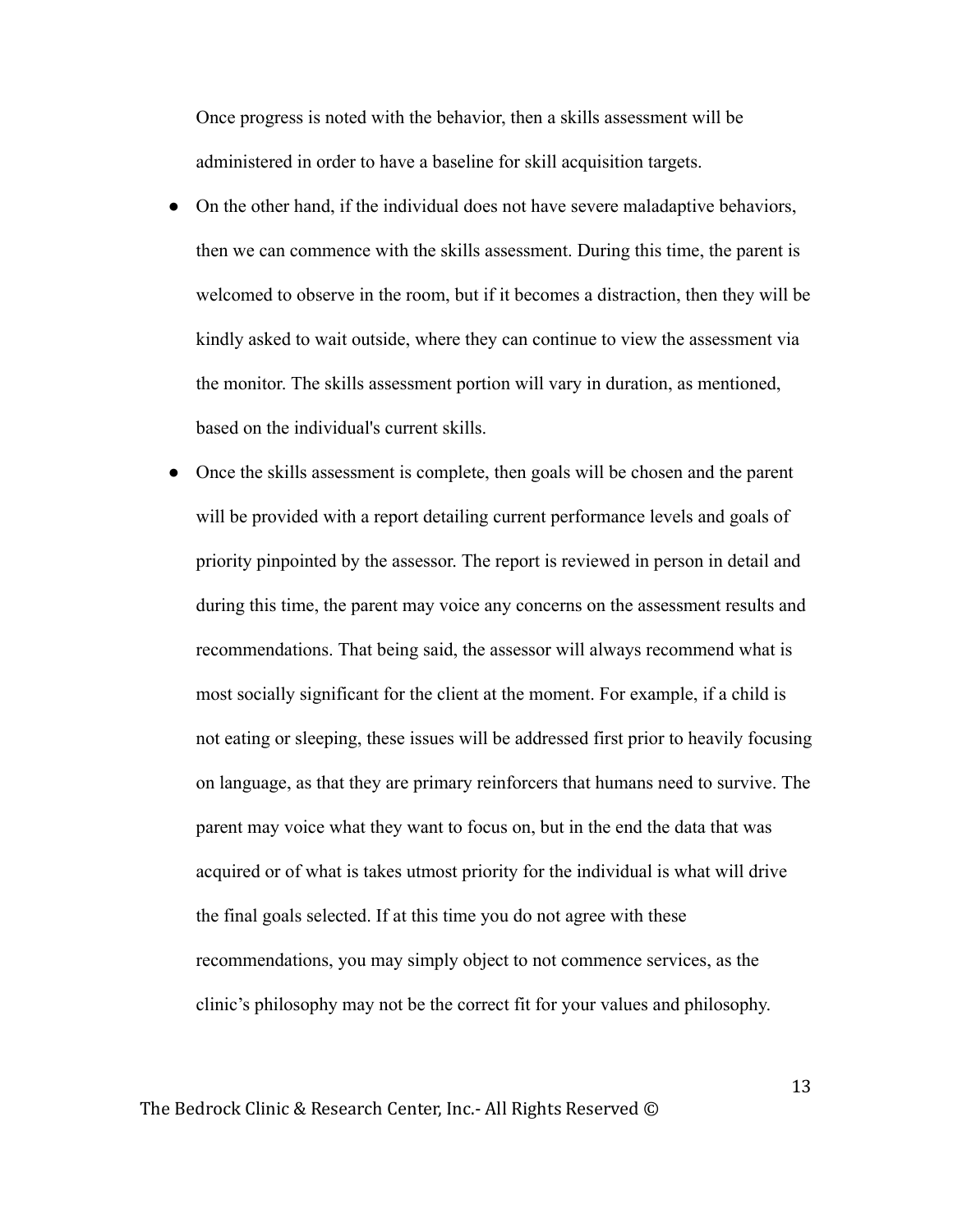Once progress is noted with the behavior, then a skills assessment will be administered in order to have a baseline for skill acquisition targets.

- On the other hand, if the individual does not have severe maladaptive behaviors, then we can commence with the skills assessment. During this time, the parent is welcomed to observe in the room, but if it becomes a distraction, then they will be kindly asked to wait outside, where they can continue to view the assessment via the monitor. The skills assessment portion will vary in duration, as mentioned, based on the individual's current skills.
- Once the skills assessment is complete, then goals will be chosen and the parent will be provided with a report detailing current performance levels and goals of priority pinpointed by the assessor. The report is reviewed in person in detail and during this time, the parent may voice any concerns on the assessment results and recommendations. That being said, the assessor will always recommend what is most socially significant for the client at the moment. For example, if a child is not eating or sleeping, these issues will be addressed first prior to heavily focusing on language, as that they are primary reinforcers that humans need to survive. The parent may voice what they want to focus on, but in the end the data that was acquired or of what is takes utmost priority for the individual is what will drive the final goals selected. If at this time you do not agree with these recommendations, you may simply object to not commence services, as the clinic's philosophy may not be the correct fit for your values and philosophy.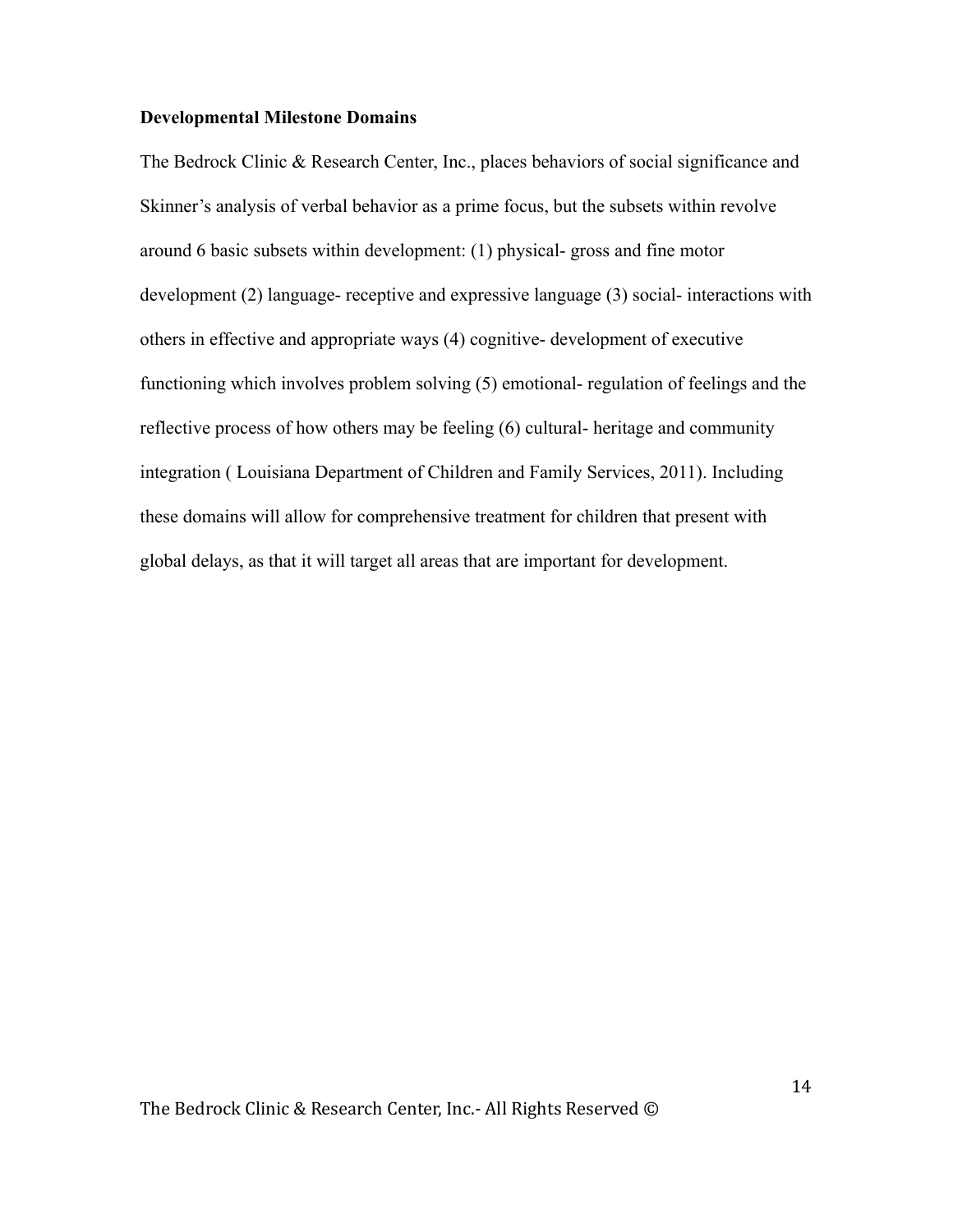#### Developmental Milestone Domains

The Bedrock Clinic & Research Center, Inc., places behaviors of social significance and Skinner's analysis of verbal behavior as a prime focus, but the subsets within revolve around 6 basic subsets within development: (1) physical- gross and fine motor development (2) language- receptive and expressive language (3) social- interactions with others in effective and appropriate ways (4) cognitive- development of executive functioning which involves problem solving (5) emotional- regulation of feelings and the reflective process of how others may be feeling (6) cultural- heritage and community integration ( Louisiana Department of Children and Family Services, 2011). Including these domains will allow for comprehensive treatment for children that present with global delays, as that it will target all areas that are important for development.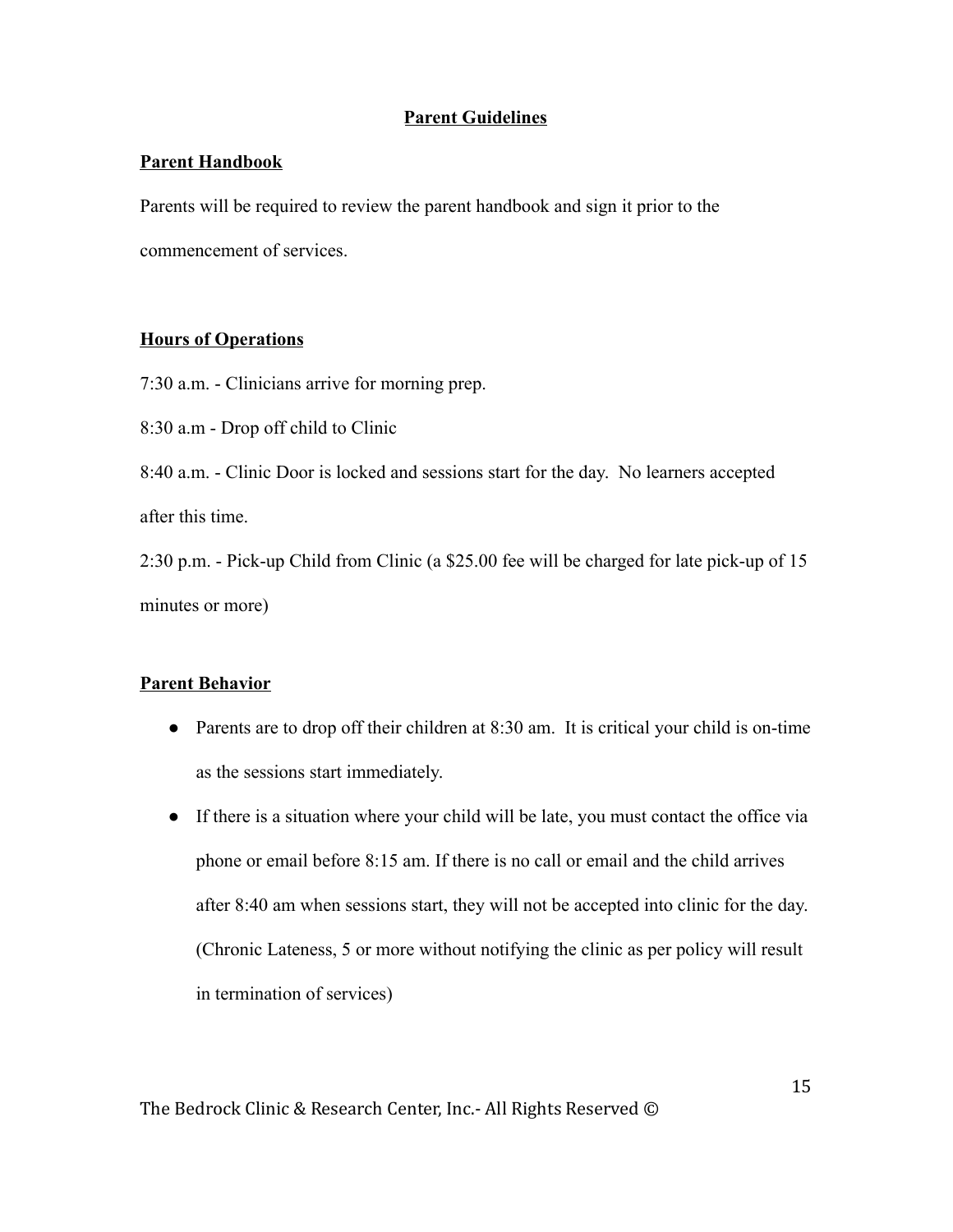## Parent Guidelines

## Parent Handbook

Parents will be required to review the parent handbook and sign it prior to the commencement of services.

## Hours of Operations

7:30 a.m. - Clinicians arrive for morning prep.

8:30 a.m - Drop off child to Clinic

8:40 a.m. - Clinic Door is locked and sessions start for the day. No learners accepted after this time.

2:30 p.m. - Pick-up Child from Clinic (a \$25.00 fee will be charged for late pick-up of 15 minutes or more)

## Parent Behavior

- Parents are to drop off their children at 8:30 am. It is critical your child is on-time as the sessions start immediately.
- If there is a situation where your child will be late, you must contact the office via phone or email before 8:15 am. If there is no call or email and the child arrives after 8:40 am when sessions start, they will not be accepted into clinic for the day. (Chronic Lateness, 5 or more without notifying the clinic as per policy will result in termination of services)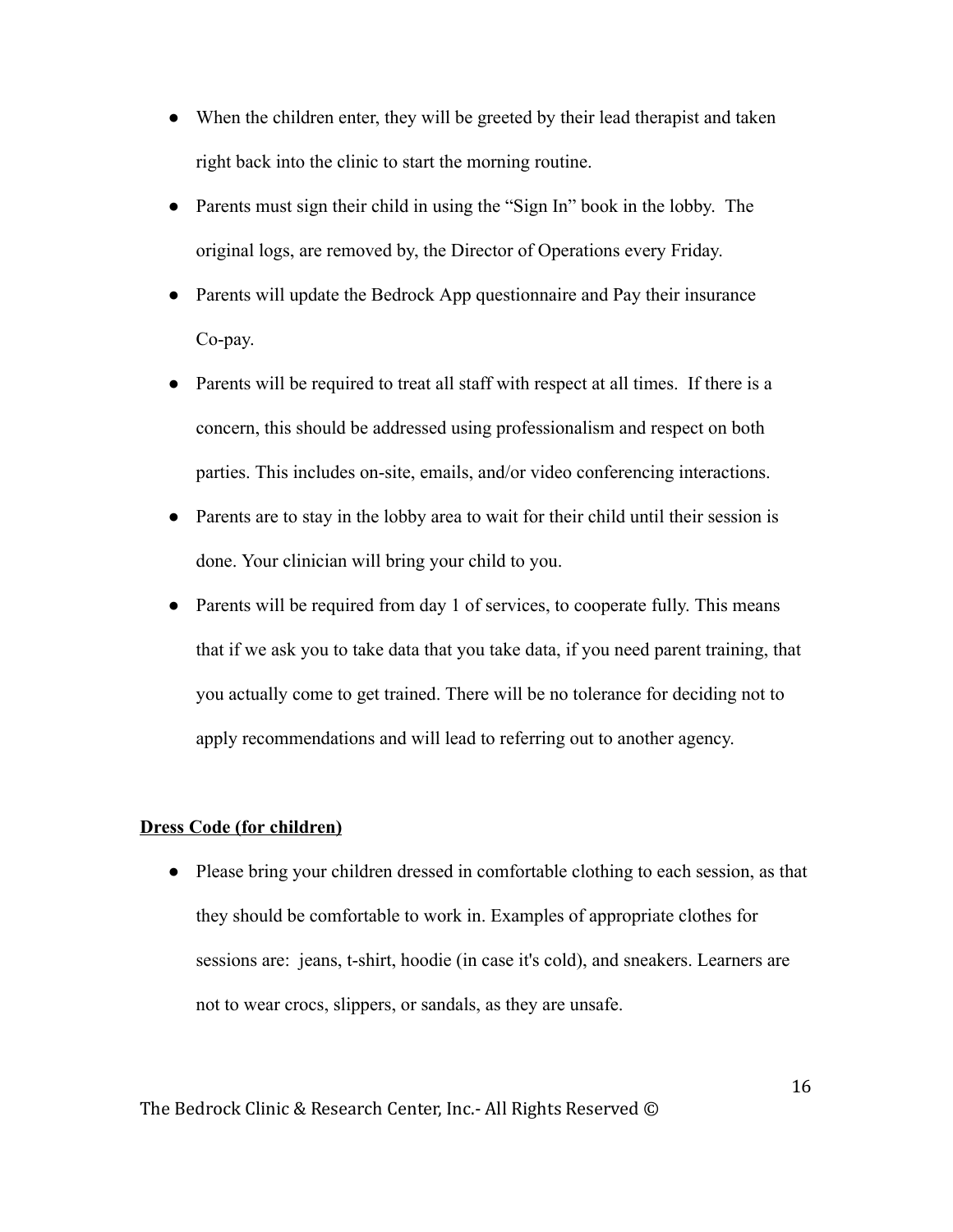- When the children enter, they will be greeted by their lead therapist and taken right back into the clinic to start the morning routine.
- Parents must sign their child in using the "Sign In" book in the lobby. The original logs, are removed by, the Director of Operations every Friday.
- Parents will update the Bedrock App questionnaire and Pay their insurance Co-pay.
- Parents will be required to treat all staff with respect at all times. If there is a concern, this should be addressed using professionalism and respect on both parties. This includes on-site, emails, and/or video conferencing interactions.
- Parents are to stay in the lobby area to wait for their child until their session is done. Your clinician will bring your child to you.
- Parents will be required from day 1 of services, to cooperate fully. This means that if we ask you to take data that you take data, if you need parent training, that you actually come to get trained. There will be no tolerance for deciding not to apply recommendations and will lead to referring out to another agency.

### Dress Code (for children)

● Please bring your children dressed in comfortable clothing to each session, as that they should be comfortable to work in. Examples of appropriate clothes for sessions are: jeans, t-shirt, hoodie (in case it's cold), and sneakers. Learners are not to wear crocs, slippers, or sandals, as they are unsafe.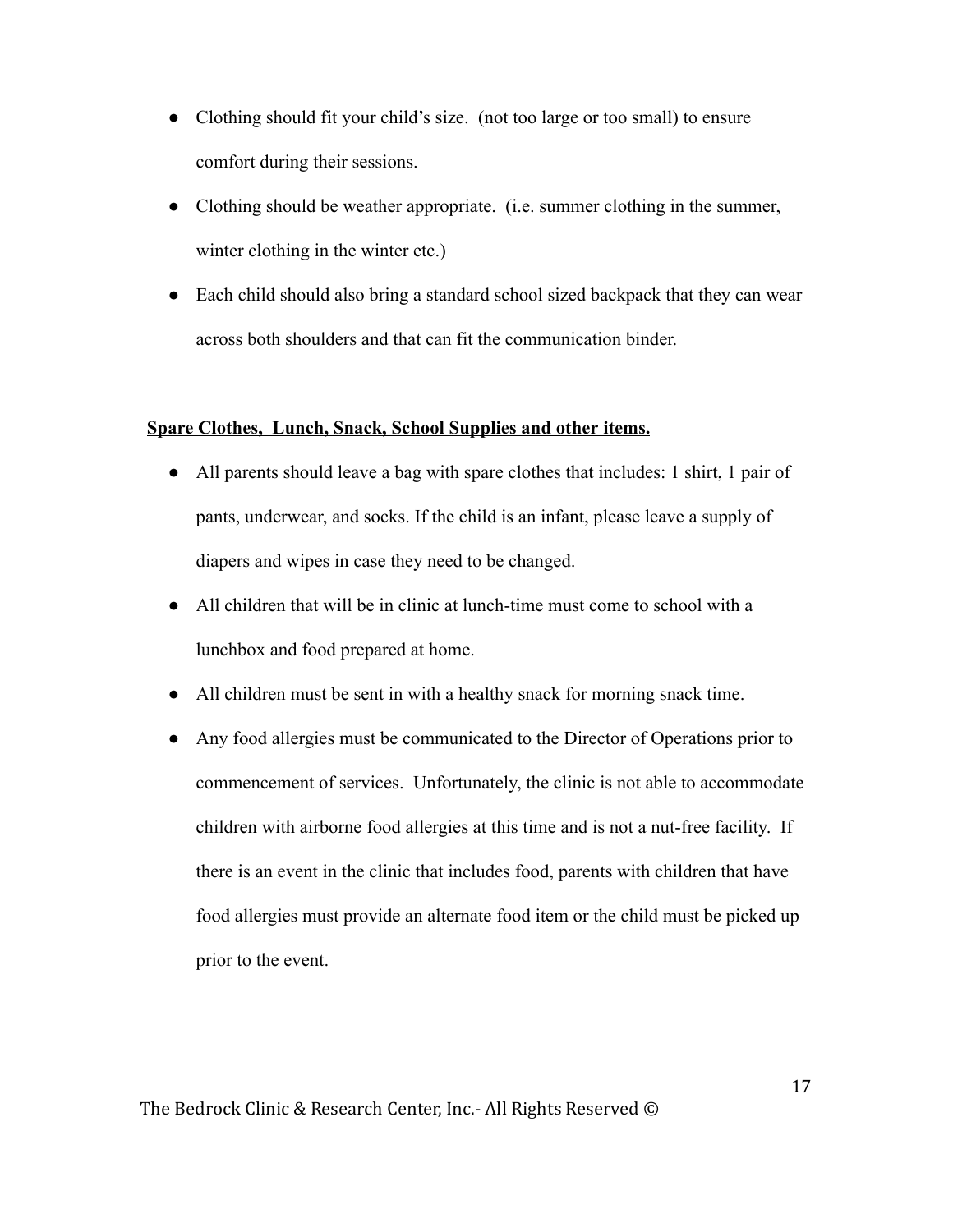- Clothing should fit your child's size. (not too large or too small) to ensure comfort during their sessions.
- Clothing should be weather appropriate. (i.e. summer clothing in the summer, winter clothing in the winter etc.)
- Each child should also bring a standard school sized backpack that they can wear across both shoulders and that can fit the communication binder.

## Spare Clothes, Lunch, Snack, School Supplies and other items.

- All parents should leave a bag with spare clothes that includes: 1 shirt, 1 pair of pants, underwear, and socks. If the child is an infant, please leave a supply of diapers and wipes in case they need to be changed.
- All children that will be in clinic at lunch-time must come to school with a lunchbox and food prepared at home.
- All children must be sent in with a healthy snack for morning snack time.
- Any food allergies must be communicated to the Director of Operations prior to commencement of services. Unfortunately, the clinic is not able to accommodate children with airborne food allergies at this time and is not a nut-free facility. If there is an event in the clinic that includes food, parents with children that have food allergies must provide an alternate food item or the child must be picked up prior to the event.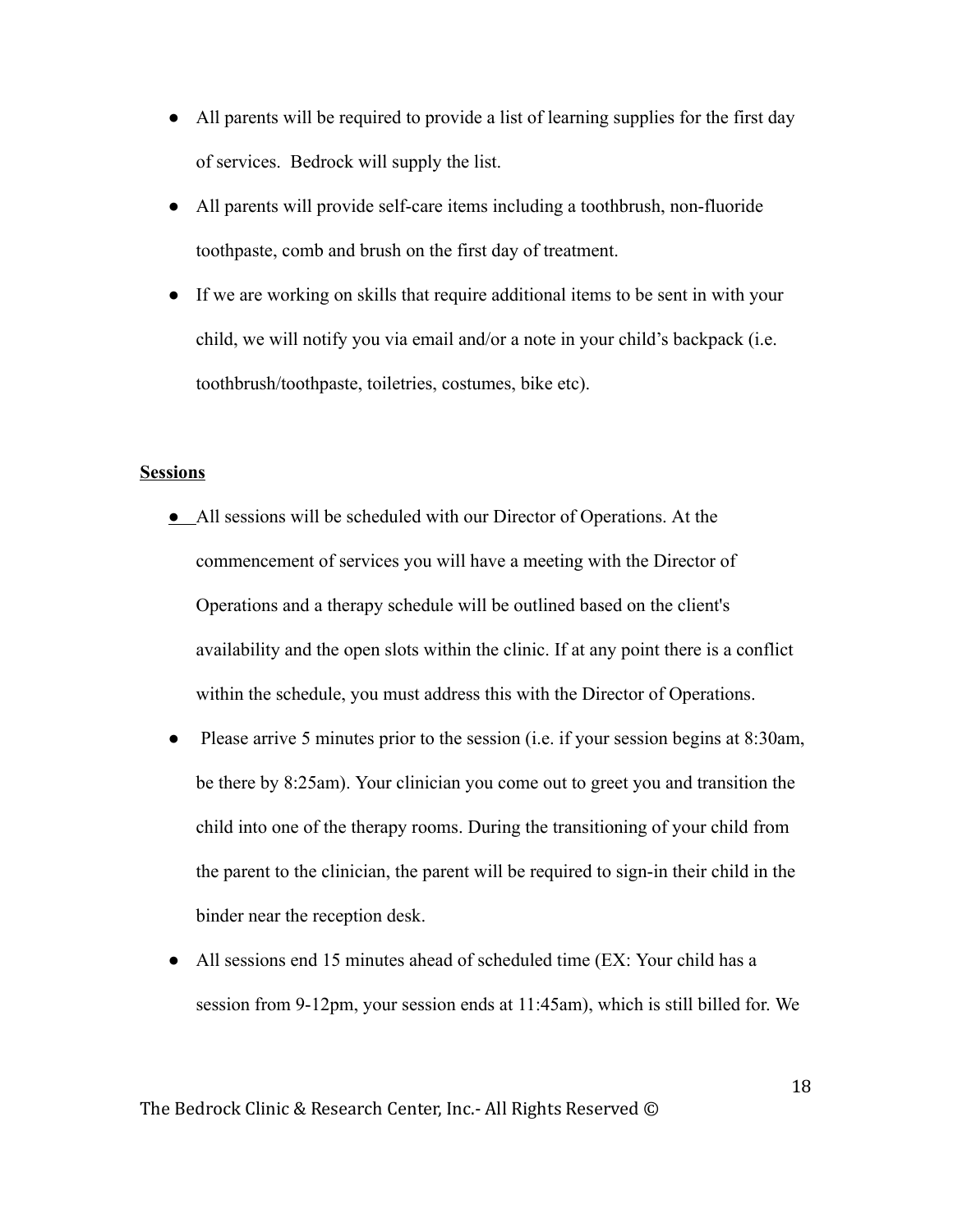- All parents will be required to provide a list of learning supplies for the first day of services. Bedrock will supply the list.
- All parents will provide self-care items including a toothbrush, non-fluoride toothpaste, comb and brush on the first day of treatment.
- If we are working on skills that require additional items to be sent in with your child, we will notify you via email and/or a note in your child's backpack (i.e. toothbrush/toothpaste, toiletries, costumes, bike etc).

### **Sessions**

- All sessions will be scheduled with our Director of Operations. At the commencement of services you will have a meeting with the Director of Operations and a therapy schedule will be outlined based on the client's availability and the open slots within the clinic. If at any point there is a conflict within the schedule, you must address this with the Director of Operations.
- Please arrive 5 minutes prior to the session (i.e. if your session begins at 8:30am, be there by 8:25am). Your clinician you come out to greet you and transition the child into one of the therapy rooms. During the transitioning of your child from the parent to the clinician, the parent will be required to sign-in their child in the binder near the reception desk.
- All sessions end 15 minutes ahead of scheduled time (EX: Your child has a session from 9-12pm, your session ends at 11:45am), which is still billed for. We

The Bedrock Clinic & Research Center, Inc.- All Rights Reserved ©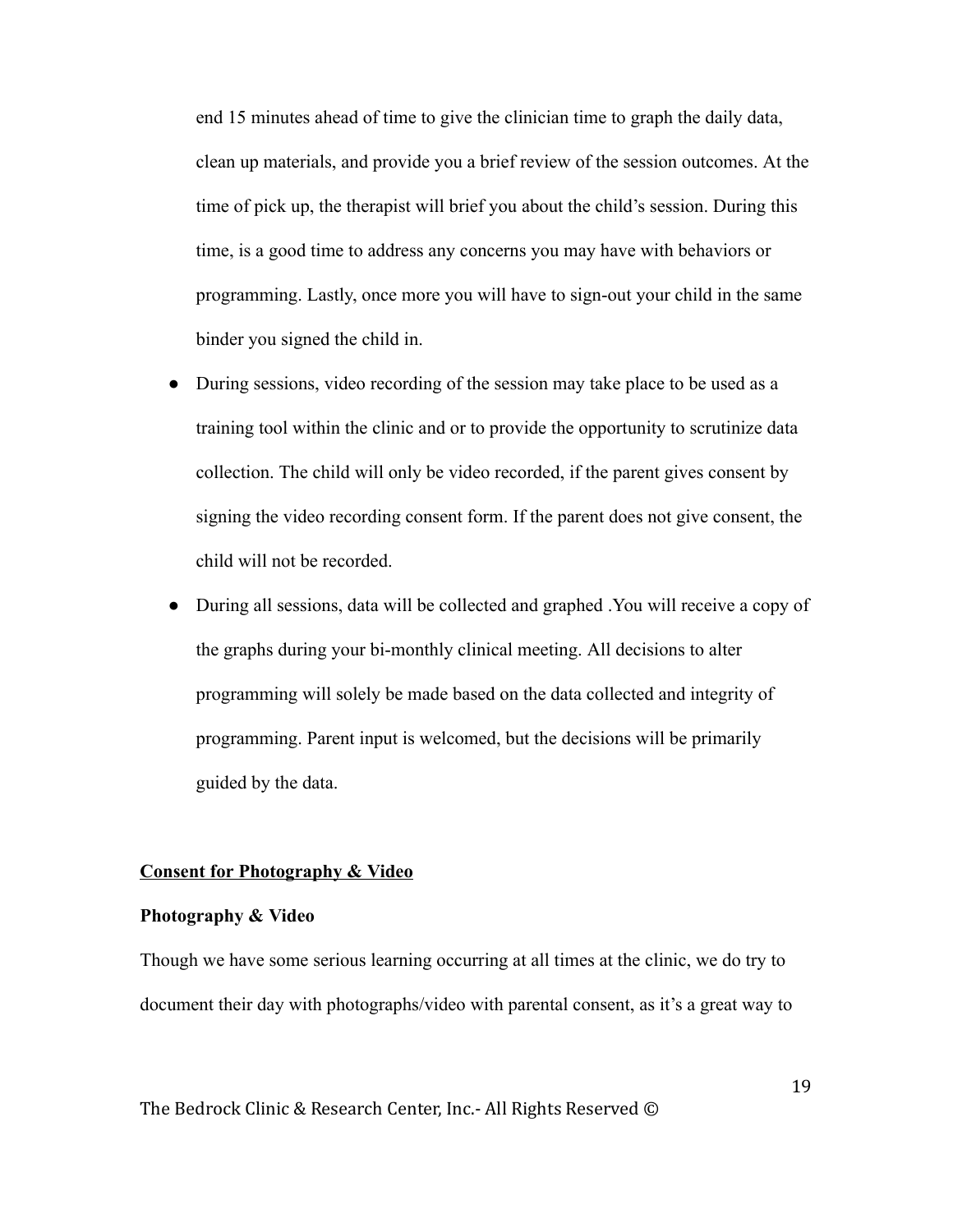end 15 minutes ahead of time to give the clinician time to graph the daily data, clean up materials, and provide you a brief review of the session outcomes. At the time of pick up, the therapist will brief you about the child's session. During this time, is a good time to address any concerns you may have with behaviors or programming. Lastly, once more you will have to sign-out your child in the same binder you signed the child in.

- During sessions, video recording of the session may take place to be used as a training tool within the clinic and or to provide the opportunity to scrutinize data collection. The child will only be video recorded, if the parent gives consent by signing the video recording consent form. If the parent does not give consent, the child will not be recorded.
- During all sessions, data will be collected and graphed . You will receive a copy of the graphs during your bi-monthly clinical meeting. All decisions to alter programming will solely be made based on the data collected and integrity of programming. Parent input is welcomed, but the decisions will be primarily guided by the data.

### Consent for Photography & Video

#### Photography & Video

Though we have some serious learning occurring at all times at the clinic, we do try to document their day with photographs/video with parental consent, as it's a great way to

The Bedrock Clinic & Research Center, Inc.- All Rights Reserved ©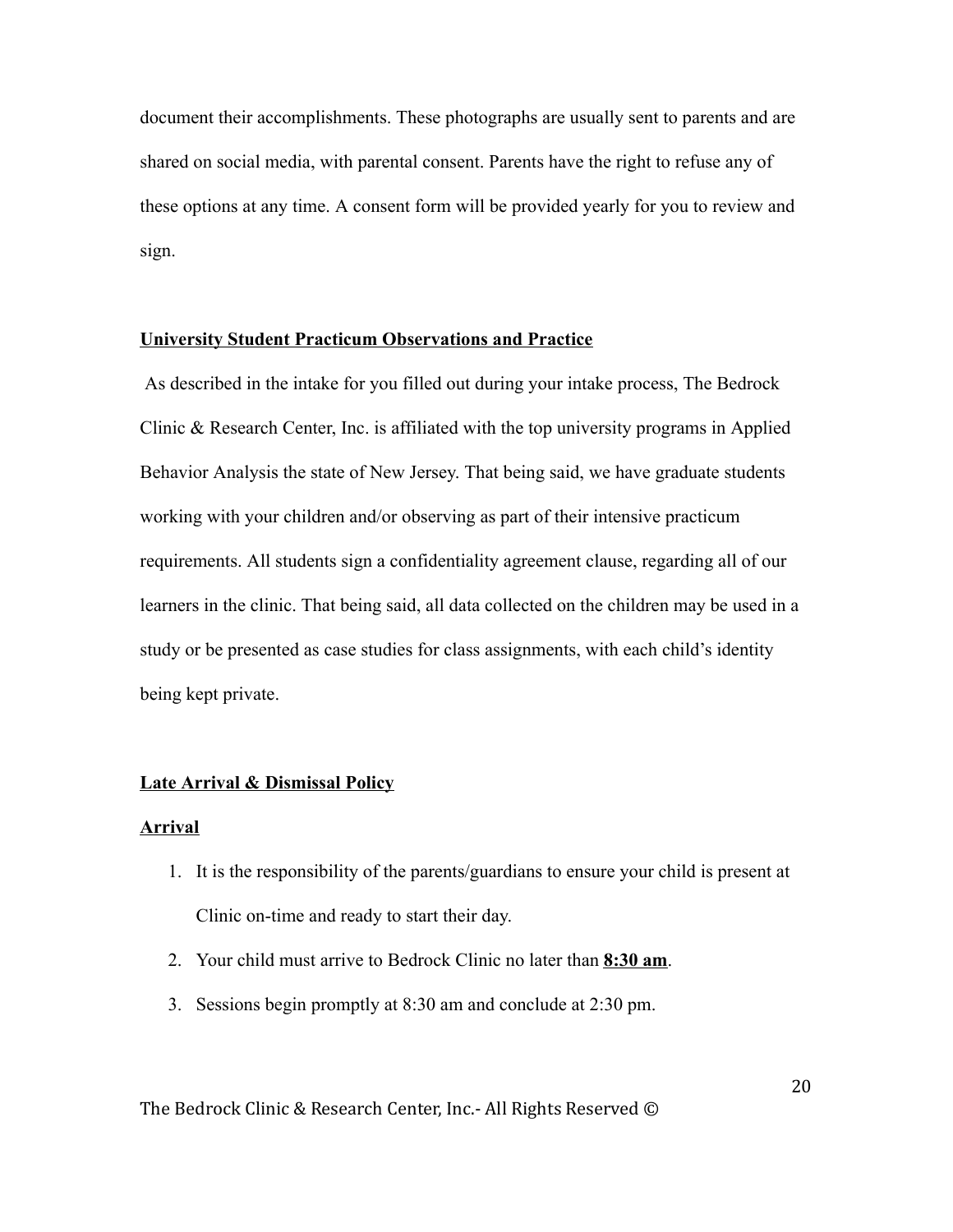document their accomplishments. These photographs are usually sent to parents and are shared on social media, with parental consent. Parents have the right to refuse any of these options at any time. A consent form will be provided yearly for you to review and sign.

#### University Student Practicum Observations and Practice

 As described in the intake for you filled out during your intake process, The Bedrock Clinic & Research Center, Inc. is affiliated with the top university programs in Applied Behavior Analysis the state of New Jersey. That being said, we have graduate students working with your children and/or observing as part of their intensive practicum requirements. All students sign a confidentiality agreement clause, regarding all of our learners in the clinic. That being said, all data collected on the children may be used in a study or be presented as case studies for class assignments, with each child's identity being kept private.

## Late Arrival & Dismissal Policy

#### Arrival

- 1. It is the responsibility of the parents/guardians to ensure your child is present at Clinic on-time and ready to start their day.
- 2. Your child must arrive to Bedrock Clinic no later than 8:30 am.
- 3. Sessions begin promptly at 8:30 am and conclude at 2:30 pm.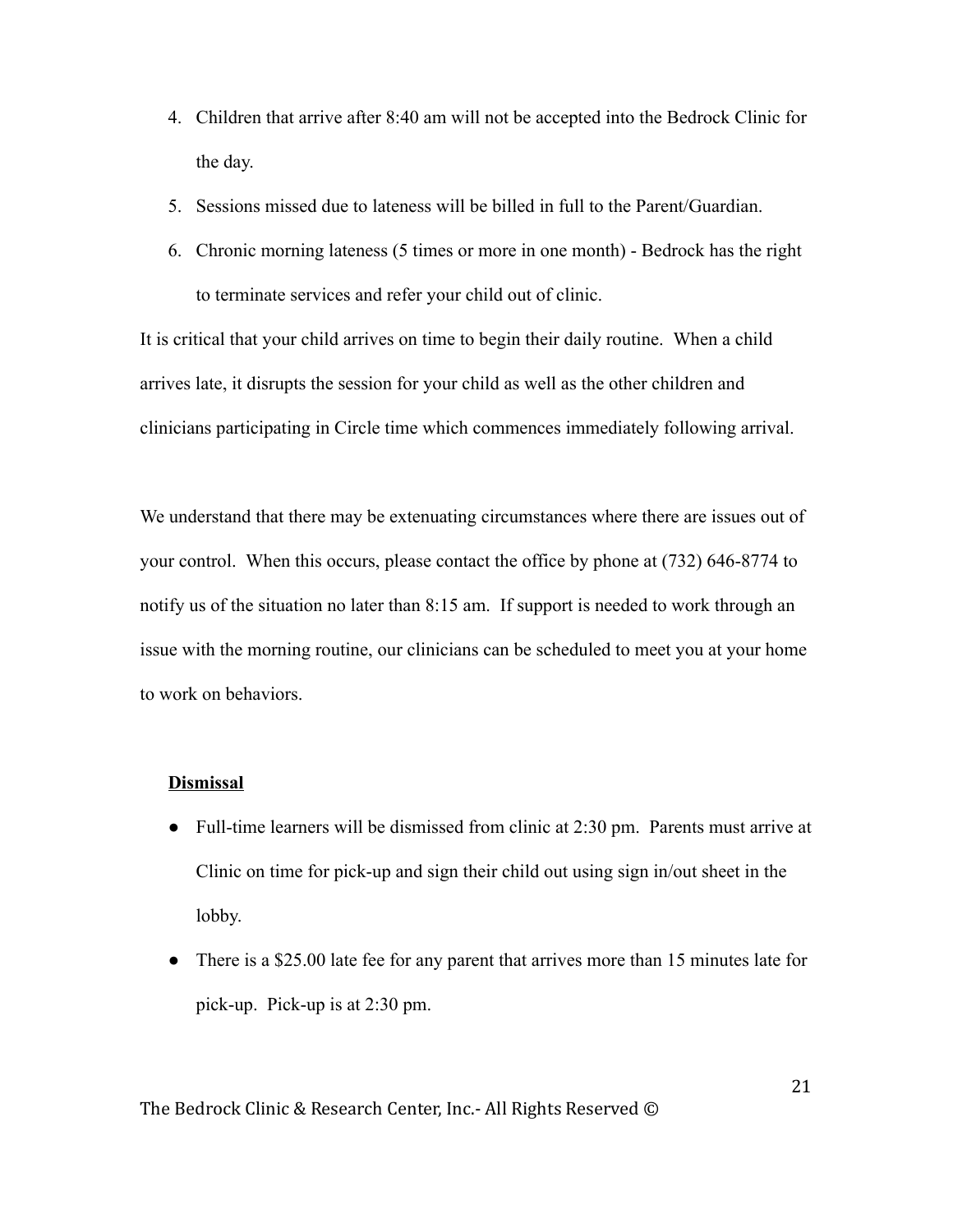- 4. Children that arrive after 8:40 am will not be accepted into the Bedrock Clinic for the day.
- 5. Sessions missed due to lateness will be billed in full to the Parent/Guardian.
- 6. Chronic morning lateness (5 times or more in one month) Bedrock has the right to terminate services and refer your child out of clinic.

It is critical that your child arrives on time to begin their daily routine. When a child arrives late, it disrupts the session for your child as well as the other children and clinicians participating in Circle time which commences immediately following arrival.

We understand that there may be extenuating circumstances where there are issues out of your control. When this occurs, please contact the office by phone at (732) 646-8774 to notify us of the situation no later than 8:15 am. If support is needed to work through an issue with the morning routine, our clinicians can be scheduled to meet you at your home to work on behaviors.

## Dismissal

- Full-time learners will be dismissed from clinic at 2:30 pm. Parents must arrive at Clinic on time for pick-up and sign their child out using sign in/out sheet in the lobby.
- There is a \$25.00 late fee for any parent that arrives more than 15 minutes late for pick-up. Pick-up is at 2:30 pm.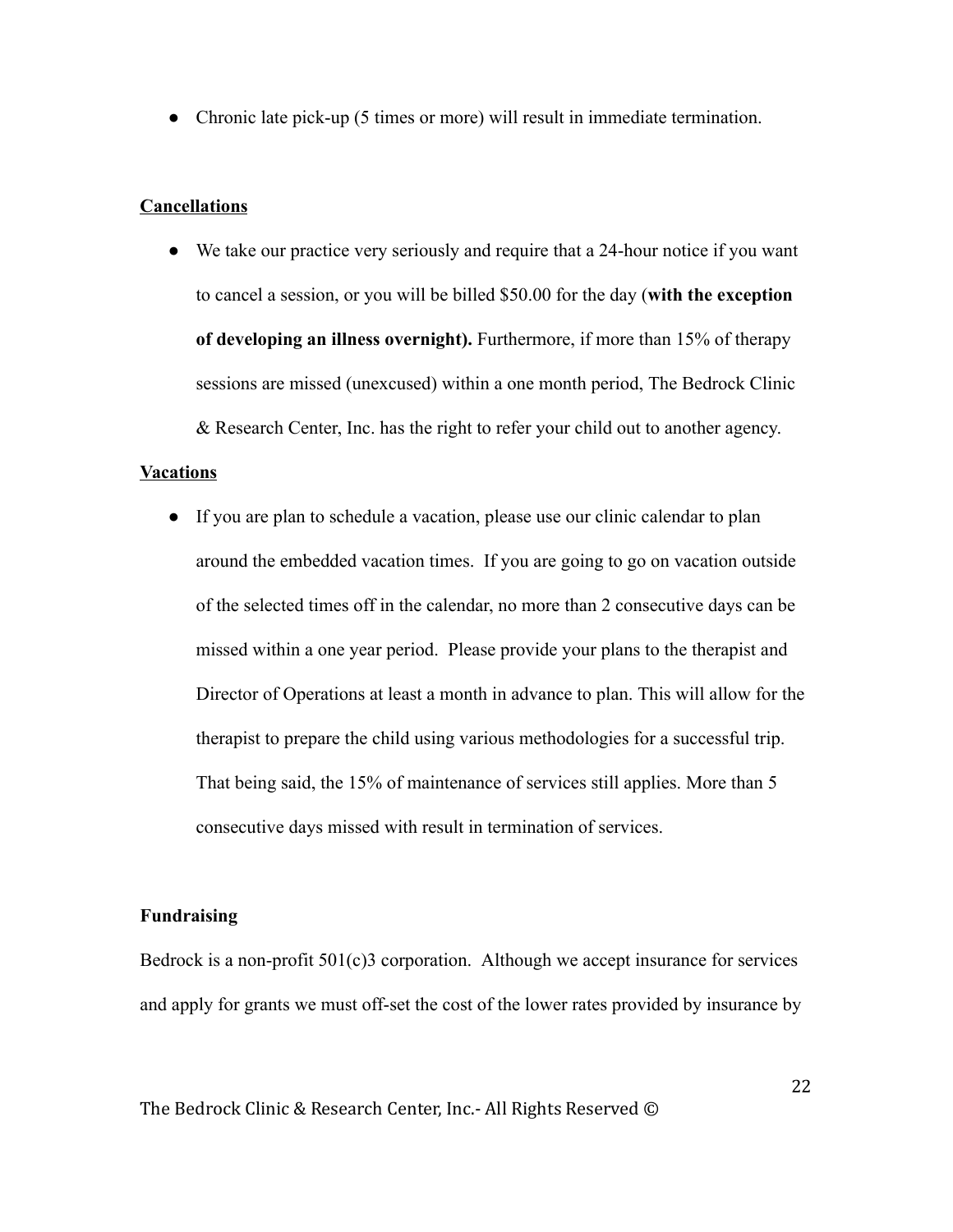● Chronic late pick-up (5 times or more) will result in immediate termination.

## **Cancellations**

● We take our practice very seriously and require that a 24-hour notice if you want to cancel a session, or you will be billed \$50.00 for the day ( with the exception of developing an illness overnight). Furthermore, if more than 15% of therapy sessions are missed (unexcused) within a one month period, The Bedrock Clinic & Research Center, Inc. has the right to refer your child out to another agency.

### Vacations

● If you are plan to schedule a vacation, please use our clinic calendar to plan around the embedded vacation times. If you are going to go on vacation outside of the selected times off in the calendar, no more than 2 consecutive days can be missed within a one year period. Please provide your plans to the therapist and Director of Operations at least a month in advance to plan. This will allow for the therapist to prepare the child using various methodologies for a successful trip. That being said, the 15% of maintenance of services still applies. More than 5 consecutive days missed with result in termination of services.

## Fundraising

Bedrock is a non-profit  $501(c)$ 3 corporation. Although we accept insurance for services and apply for grants we must off-set the cost of the lower rates provided by insurance by

The Bedrock Clinic & Research Center, Inc.- All Rights Reserved ©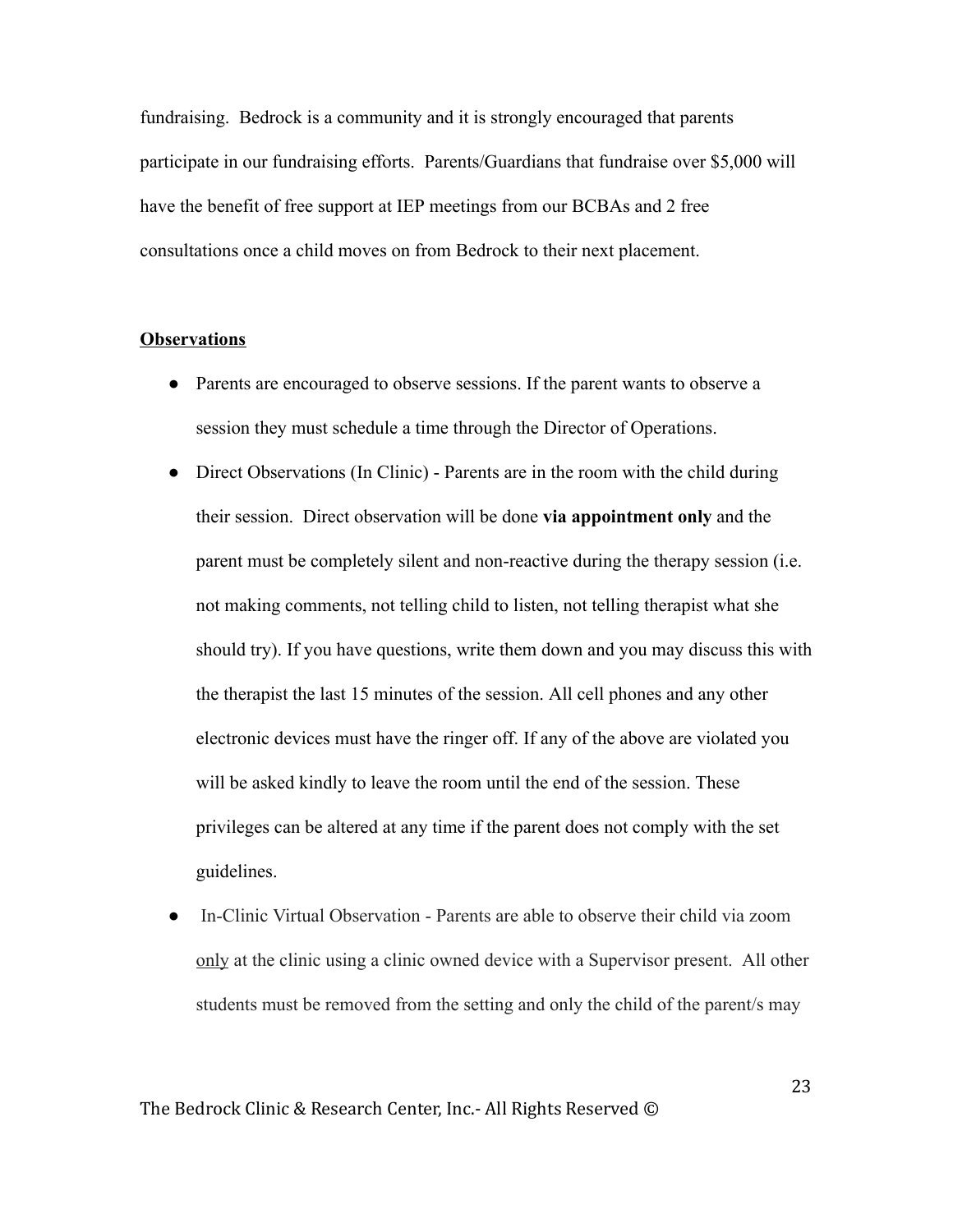fundraising. Bedrock is a community and it is strongly encouraged that parents participate in our fundraising efforts. Parents/Guardians that fundraise over \$5,000 will have the benefit of free support at IEP meetings from our BCBAs and 2 free consultations once a child moves on from Bedrock to their next placement.

#### **Observations**

- Parents are encouraged to observe sessions. If the parent wants to observe a session they must schedule a time through the Director of Operations.
- Direct Observations (In Clinic) Parents are in the room with the child during their session. Direct observation will be done via appointment only and the parent must be completely silent and non-reactive during the therapy session (i.e. not making comments, not telling child to listen, not telling therapist what she should try). If you have questions, write them down and you may discuss this with the therapist the last 15 minutes of the session. All cell phones and any other electronic devices must have the ringer off. If any of the above are violated you will be asked kindly to leave the room until the end of the session. These privileges can be altered at any time if the parent does not comply with the set guidelines.
- In-Clinic Virtual Observation Parents are able to observe their child via zoom onlyat the clinic using a clinic owned device with a Supervisor present. All other students must be removed from the setting and only the child of the parent/s may

The Bedrock Clinic & Research Center, Inc.- All Rights Reserved ©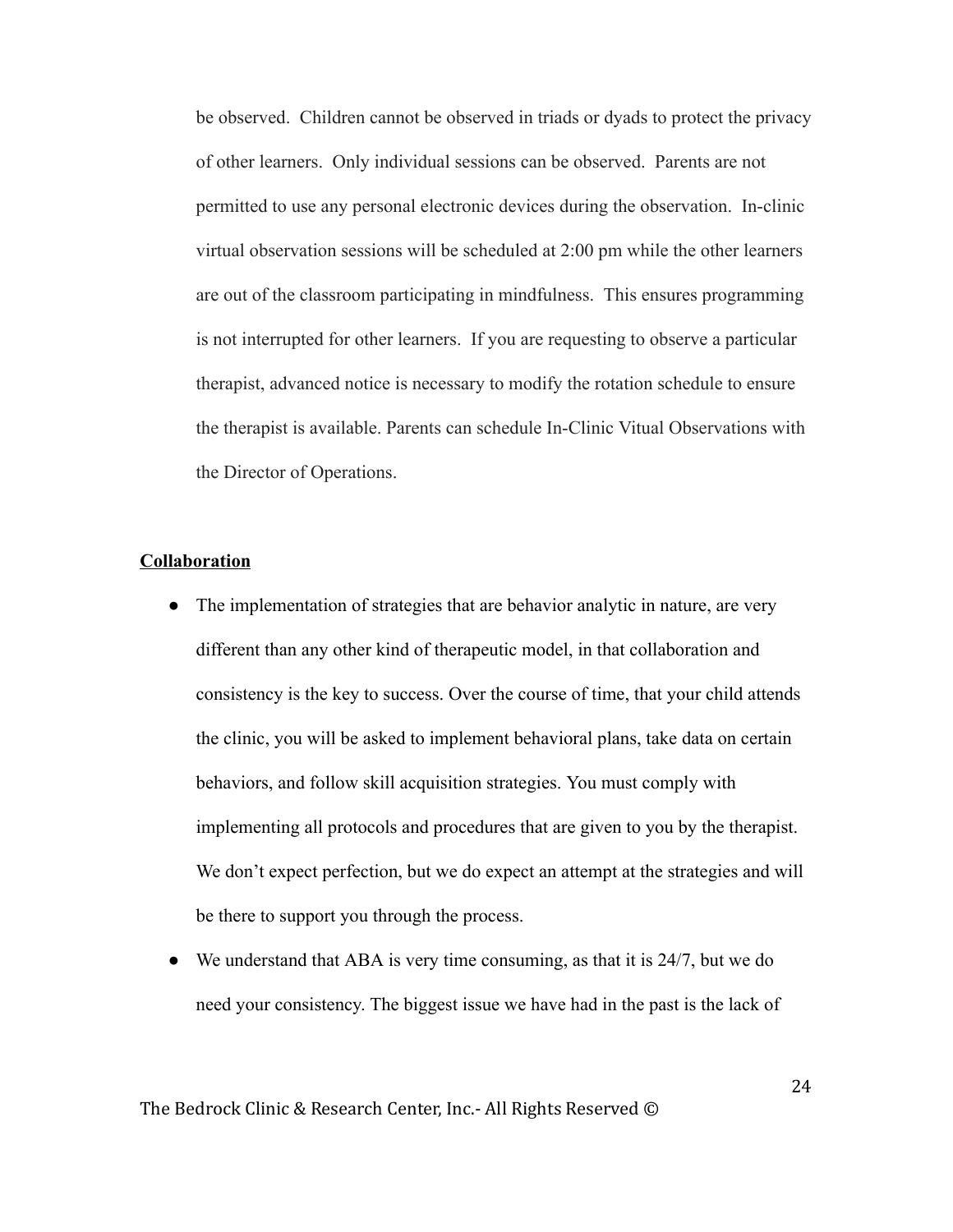be observed. Children cannot be observed in triads or dyads to protect the privacy of other learners. Only individual sessions can be observed. Parents are not permitted to use any personal electronic devices during the observation. In-clinic virtual observation sessions will be scheduled at 2:00 pm while the other learners are out of the classroom participating in mindfulness. This ensures programming is not interrupted for other learners. If you are requesting to observe a particular therapist, advanced notice is necessary to modify the rotation schedule to ensure the therapist is available. Parents can schedule In-Clinic Vitual Observations with the Director of Operations.

#### Collaboration

- The implementation of strategies that are behavior analytic in nature, are very different than any other kind of therapeutic model, in that collaboration and consistency is the key to success. Over the course of time, that your child attends the clinic, you will be asked to implement behavioral plans, take data on certain behaviors, and follow skill acquisition strategies. You must comply with implementing all protocols and procedures that are given to you by the therapist. We don't expect perfection, but we do expect an attempt at the strategies and will be there to support you through the process.
- We understand that ABA is very time consuming, as that it is  $24/7$ , but we do need your consistency. The biggest issue we have had in the past is the lack of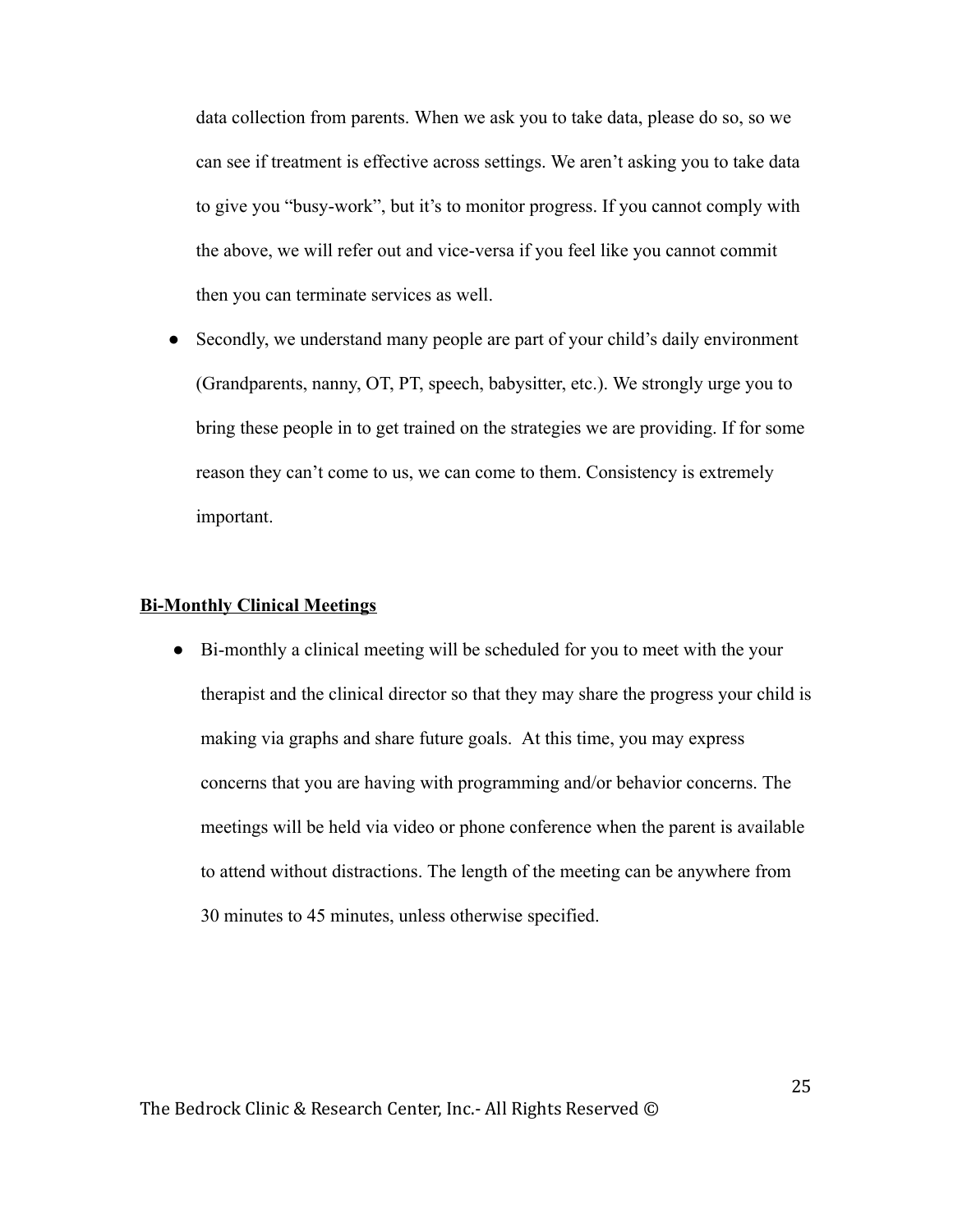data collection from parents. When we ask you to take data, please do so, so we can see if treatment is effective across settings. We aren't asking you to take data to give you "busy-work", but it's to monitor progress. If you cannot comply with the above, we will refer out and vice-versa if you feel like you cannot commit then you can terminate services as well.

Secondly, we understand many people are part of your child's daily environment (Grandparents, nanny, OT, PT, speech, babysitter, etc.). We strongly urge you to bring these people in to get trained on the strategies we are providing. If for some reason they can't come to us, we can come to them. Consistency is extremely important.

### Bi-Monthly Clinical Meetings

● Bi-monthly a clinical meeting will be scheduled for you to meet with the your therapist and the clinical director so that they may share the progress your child is making via graphs and share future goals. At this time, you may express concerns that you are having with programming and/or behavior concerns. The meetings will be held via video or phone conference when the parent is available to attend without distractions. The length of the meeting can be anywhere from 30 minutes to 45 minutes, unless otherwise specified.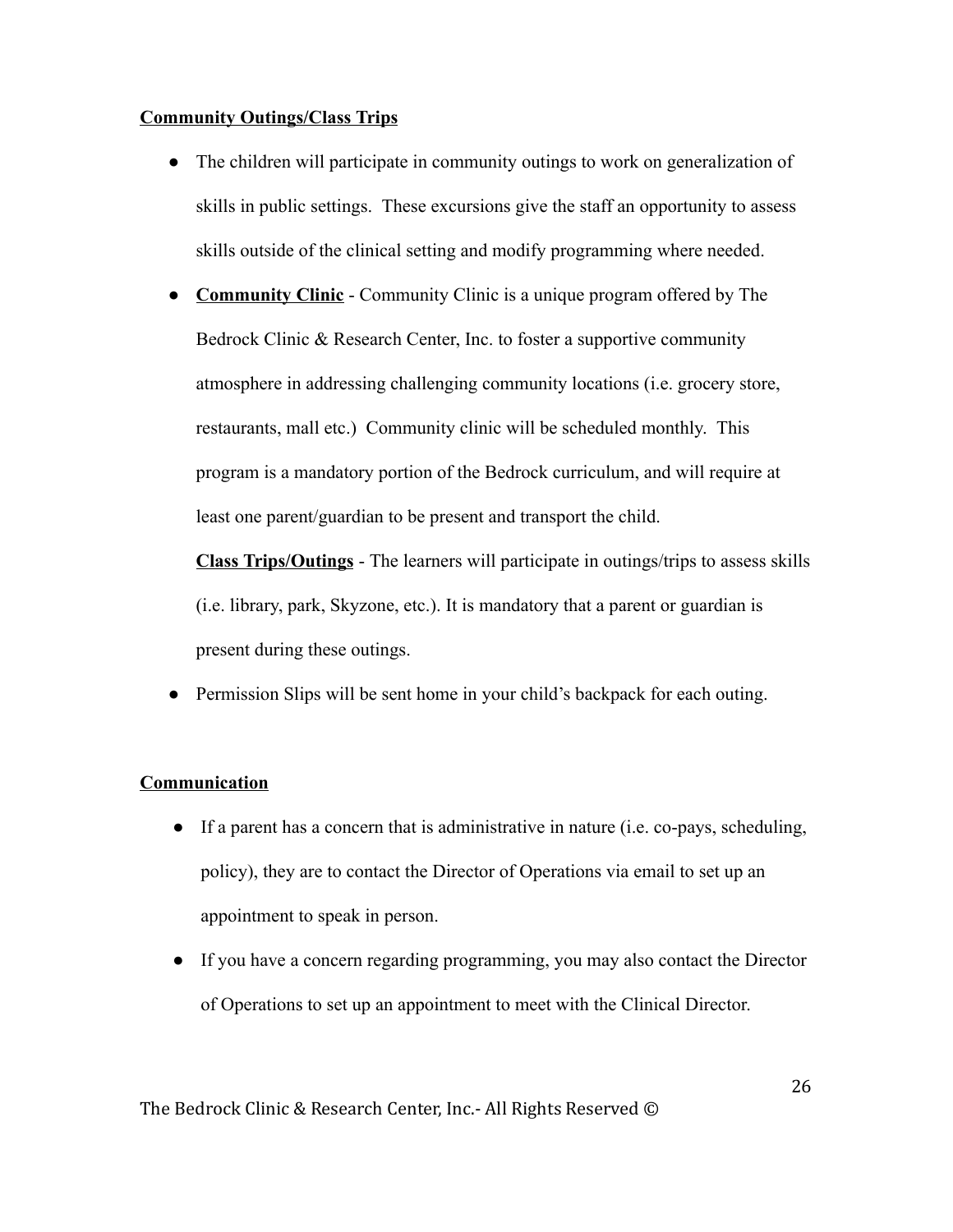### Community Outings/Class Trips

- The children will participate in community outings to work on generalization of skills in public settings. These excursions give the staff an opportunity to assess skills outside of the clinical setting and modify programming where needed.
- Community Clinic Community Clinic is a unique program offered by The Bedrock Clinic & Research Center, Inc. to foster a supportive community atmosphere in addressing challenging community locations (i.e. grocery store, restaurants, mall etc.) Community clinic will be scheduled monthly. This program is a mandatory portion of the Bedrock curriculum, and will require at least one parent/guardian to be present and transport the child.

Class Trips/Outings - The learners will participate in outings/trips to assess skills (i.e. library, park, Skyzone, etc.). It is mandatory that a parent or guardian is present during these outings.

Permission Slips will be sent home in your child's backpack for each outing.

## Communication

- If a parent has a concern that is administrative in nature (i.e. co-pays, scheduling, policy), they are to contact the Director of Operations via email to set up an appointment to speak in person.
- If you have a concern regarding programming, you may also contact the Director of Operations to set up an appointment to meet with the Clinical Director.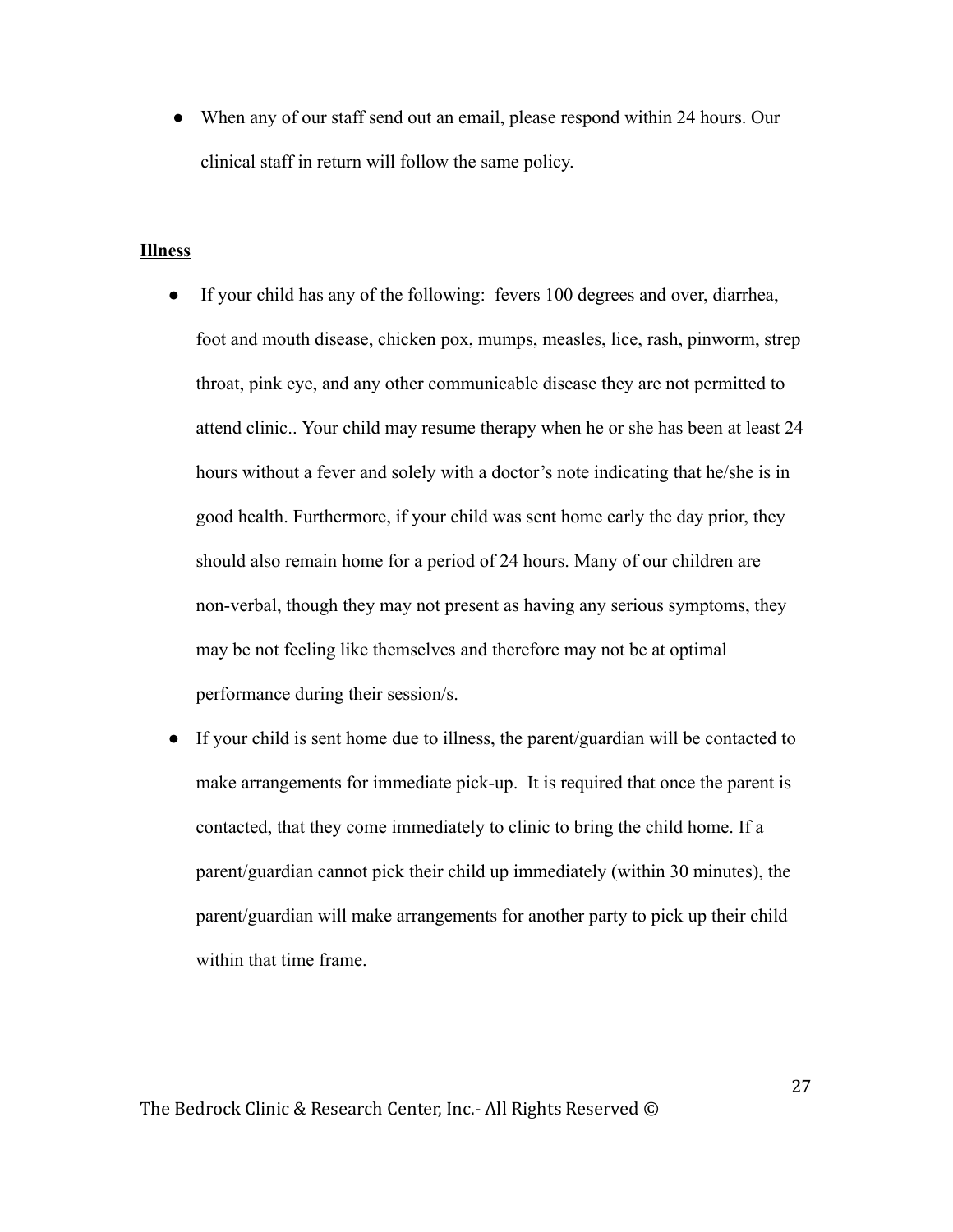• When any of our staff send out an email, please respond within 24 hours. Our clinical staff in return will follow the same policy.

#### Illness

- If your child has any of the following: fevers 100 degrees and over, diarrhea, foot and mouth disease, chicken pox, mumps, measles, lice, rash, pinworm, strep throat, pink eye, and any other communicable disease they are not permitted to attend clinic.. Your child may resume therapy when he or she has been at least 24 hours without a fever and solely with a doctor's note indicating that he/she is in good health. Furthermore, if your child was sent home early the day prior, they should also remain home for a period of 24 hours. Many of our children are non-verbal, though they may not present as having any serious symptoms, they may be not feeling like themselves and therefore may not be at optimal performance during their session/s.
- If your child is sent home due to illness, the parent/guardian will be contacted to make arrangements for immediate pick-up. It is required that once the parent is contacted, that they come immediately to clinic to bring the child home. If a parent/guardian cannot pick their child up immediately (within 30 minutes), the parent/guardian will make arrangements for another party to pick up their child within that time frame.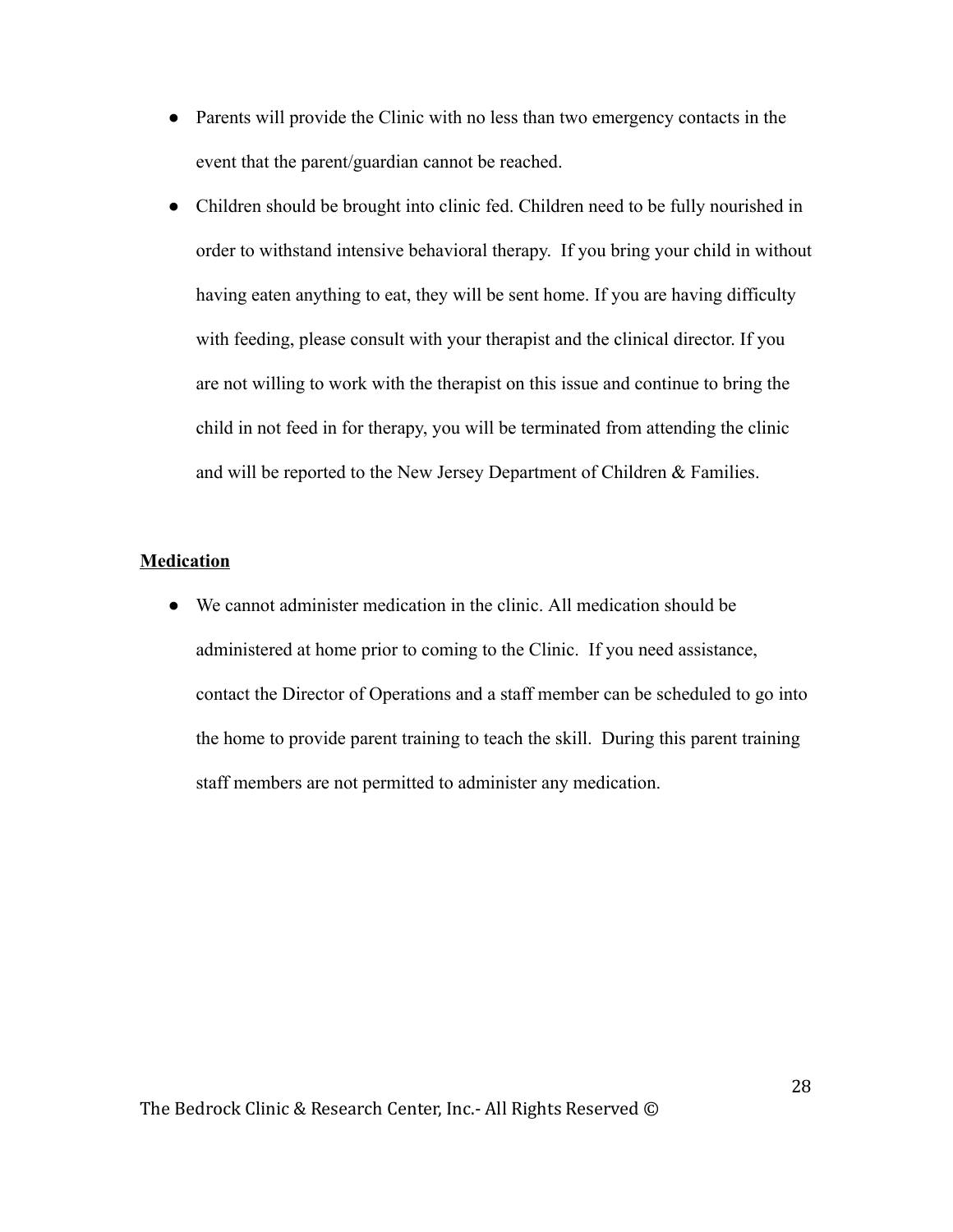- Parents will provide the Clinic with no less than two emergency contacts in the event that the parent/guardian cannot be reached.
- Children should be brought into clinic fed. Children need to be fully nourished in order to withstand intensive behavioral therapy. If you bring your child in without having eaten anything to eat, they will be sent home. If you are having difficulty with feeding, please consult with your therapist and the clinical director. If you are not willing to work with the therapist on this issue and continue to bring the child in not feed in for therapy, you will be terminated from attending the clinic and will be reported to the New Jersey Department of Children & Families.

### Medication

● We cannot administer medication in the clinic. All medication should be administered at home prior to coming to the Clinic. If you need assistance, contact the Director of Operations and a staff member can be scheduled to go into the home to provide parent training to teach the skill. During this parent training staff members are not permitted to administer any medication.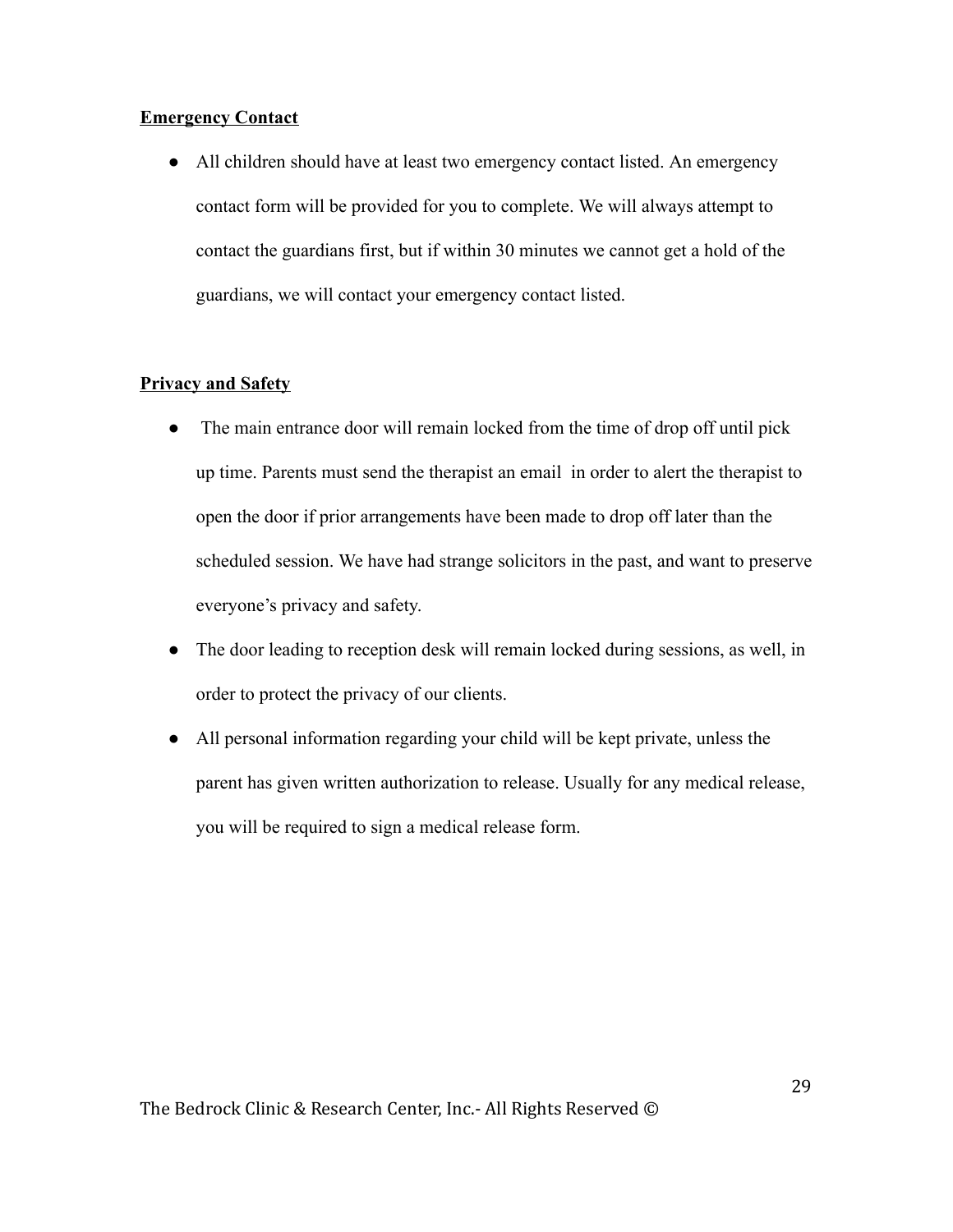## Emergency Contact

● All children should have at least two emergency contact listed. An emergency contact form will be provided for you to complete. We will always attempt to contact the guardians first, but if within 30 minutes we cannot get a hold of the guardians, we will contact your emergency contact listed.

## **Privacy and Safety**

- The main entrance door will remain locked from the time of drop off until pick up time. Parents must send the therapist an email in order to alert the therapist to open the door if prior arrangements have been made to drop off later than the scheduled session. We have had strange solicitors in the past, and want to preserve everyone's privacy and safety.
- The door leading to reception desk will remain locked during sessions, as well, in order to protect the privacy of our clients.
- All personal information regarding your child will be kept private, unless the parent has given written authorization to release. Usually for any medical release, you will be required to sign a medical release form.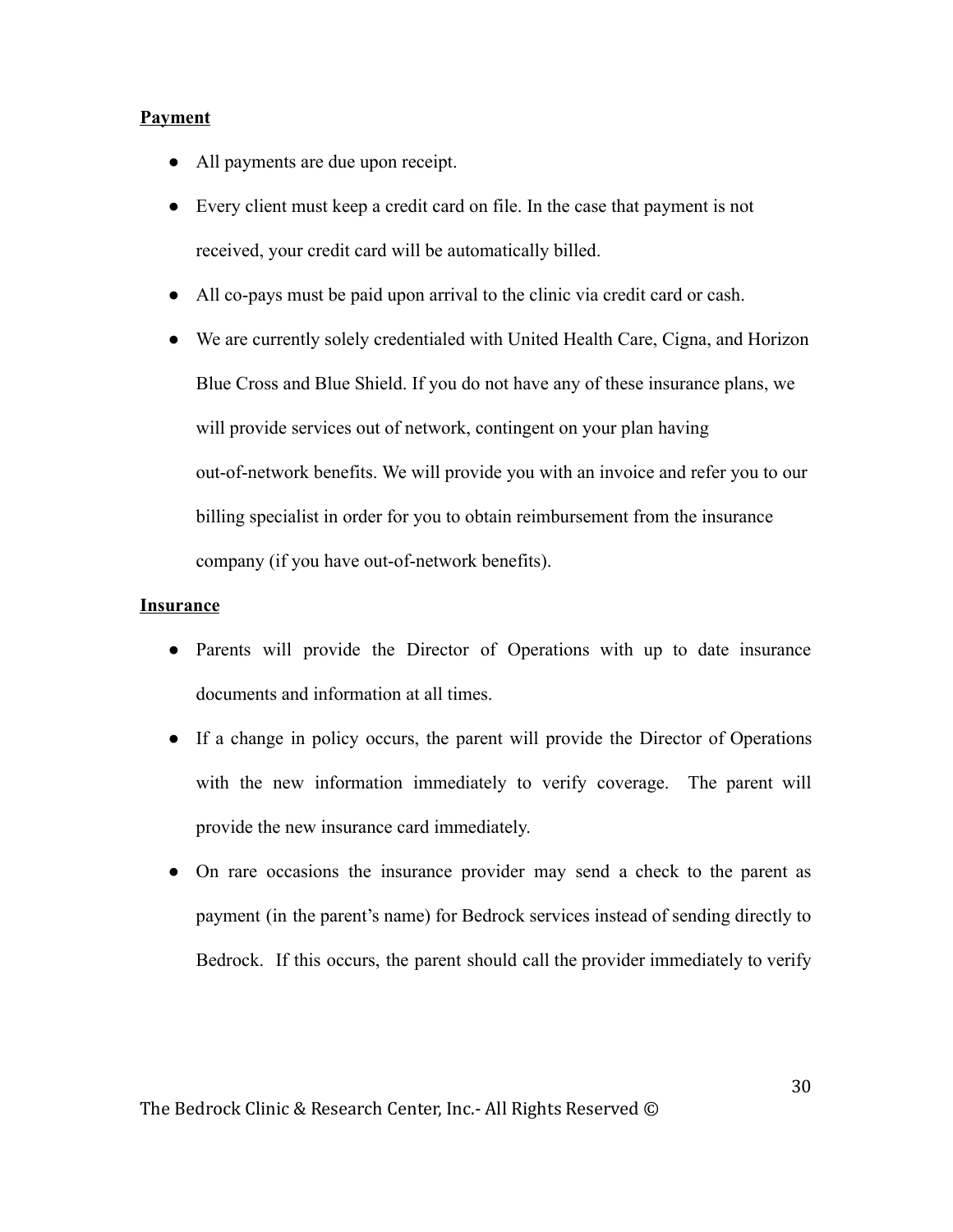## Payment

- All payments are due upon receipt.
- Every client must keep a credit card on file. In the case that payment is not received, your credit card will be automatically billed.
- All co-pays must be paid upon arrival to the clinic via credit card or cash.
- We are currently solely credentialed with United Health Care, Cigna, and Horizon Blue Cross and Blue Shield. If you do not have any of these insurance plans, we will provide services out of network, contingent on your plan having out-of-network benefits. We will provide you with an invoice and refer you to our billing specialist in order for you to obtain reimbursement from the insurance company (if you have out-of-network benefits).

### **Insurance**

- Parents will provide the Director of Operations with up to date insurance documents and information at all times.
- If a change in policy occurs, the parent will provide the Director of Operations with the new information immediately to verify coverage. The parent will provide the new insurance card immediately.
- On rare occasions the insurance provider may send a check to the parent as payment (in the parent's name) for Bedrock services instead of sending directly to Bedrock. If this occurs, the parent should call the provider immediately to verify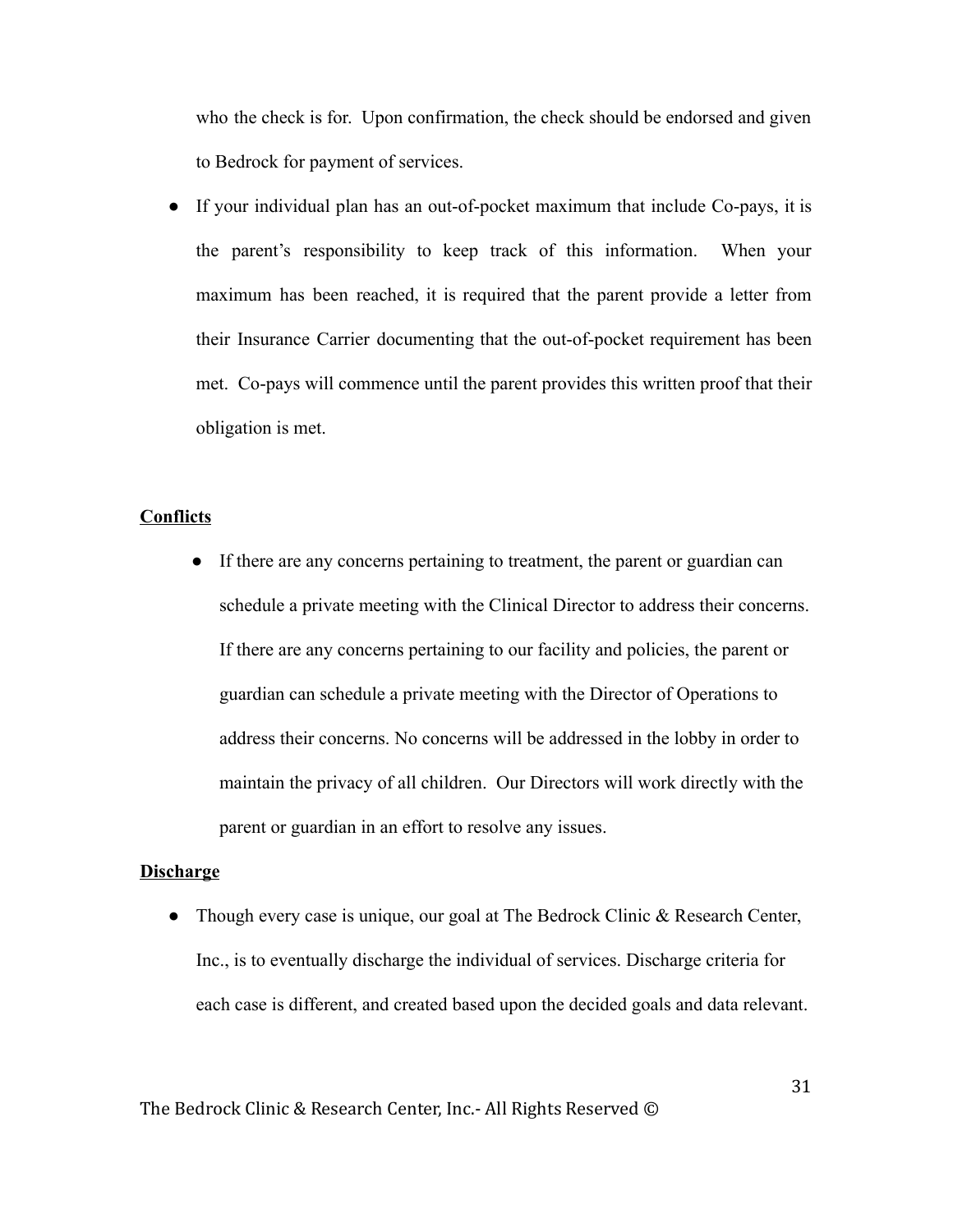who the check is for. Upon confirmation, the check should be endorsed and given to Bedrock for payment of services.

● If your individual plan has an out-of-pocket maximum that include Co-pays, it is the parent's responsibility to keep track of this information. When your maximum has been reached, it is required that the parent provide a letter from their Insurance Carrier documenting that the out-of-pocket requirement has been met. Co-pays will commence until the parent provides this written proof that their obligation is met.

## **Conflicts**

● If there are any concerns pertaining to treatment, the parent or guardian can schedule a private meeting with the Clinical Director to address their concerns. If there are any concerns pertaining to our facility and policies, the parent or guardian can schedule a private meeting with the Director of Operations to address their concerns. No concerns will be addressed in the lobby in order to maintain the privacy of all children. Our Directors will work directly with the parent or guardian in an effort to resolve any issues.

## **Discharge**

• Though every case is unique, our goal at The Bedrock Clinic & Research Center, Inc., is to eventually discharge the individual of services. Discharge criteria for each case is different, and created based upon the decided goals and data relevant.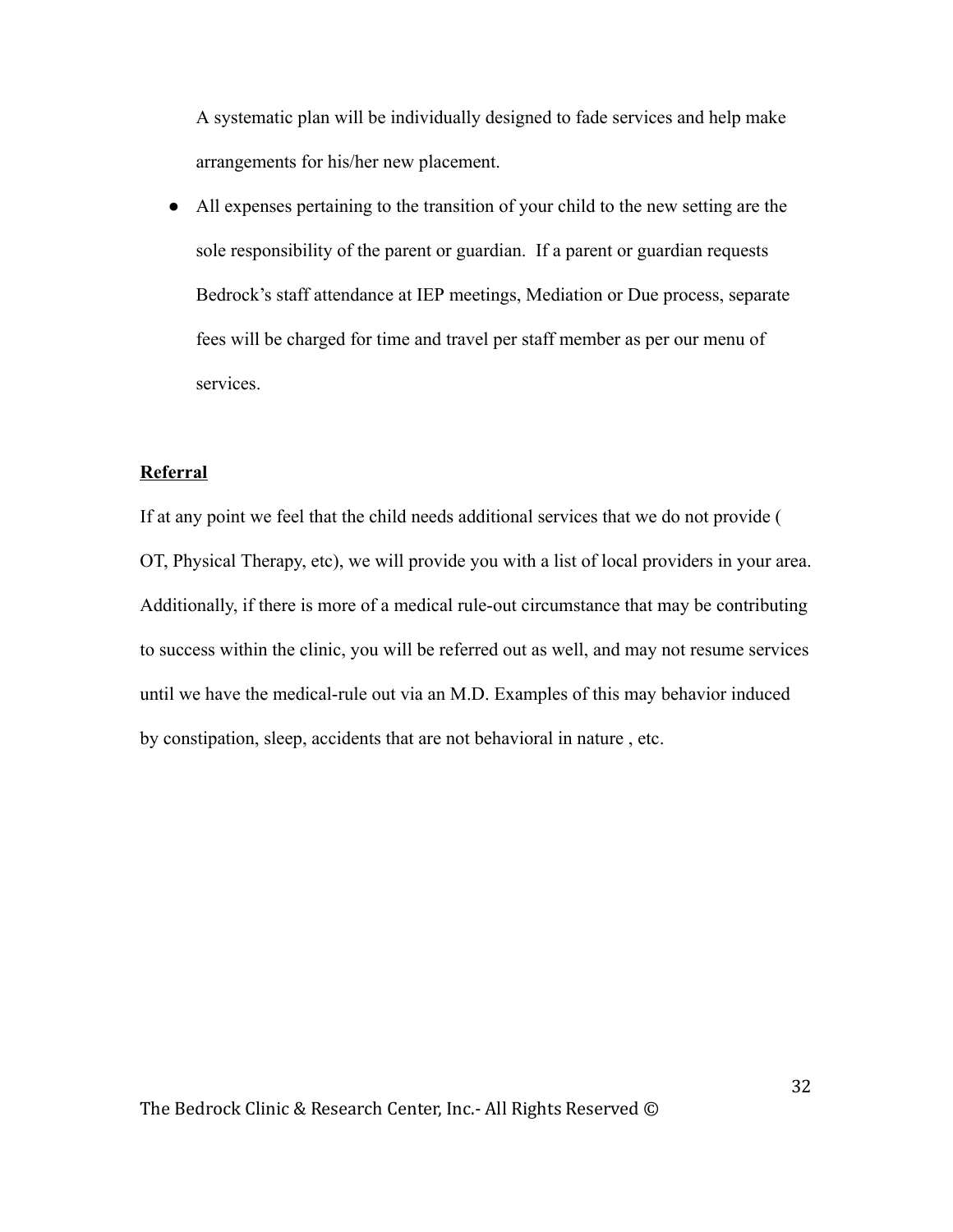A systematic plan will be individually designed to fade services and help make arrangements for his/her new placement.

● All expenses pertaining to the transition of your child to the new setting are the sole responsibility of the parent or guardian. If a parent or guardian requests Bedrock's staff attendance at IEP meetings, Mediation or Due process, separate fees will be charged for time and travel per staff member as per our menu of services.

## Referral

If at any point we feel that the child needs additional services that we do not provide ( OT, Physical Therapy, etc), we will provide you with a list of local providers in your area. Additionally, if there is more of a medical rule-out circumstance that may be contributing to success within the clinic, you will be referred out as well, and may not resume services until we have the medical-rule out via an M.D. Examples of this may behavior induced by constipation, sleep, accidents that are not behavioral in nature , etc.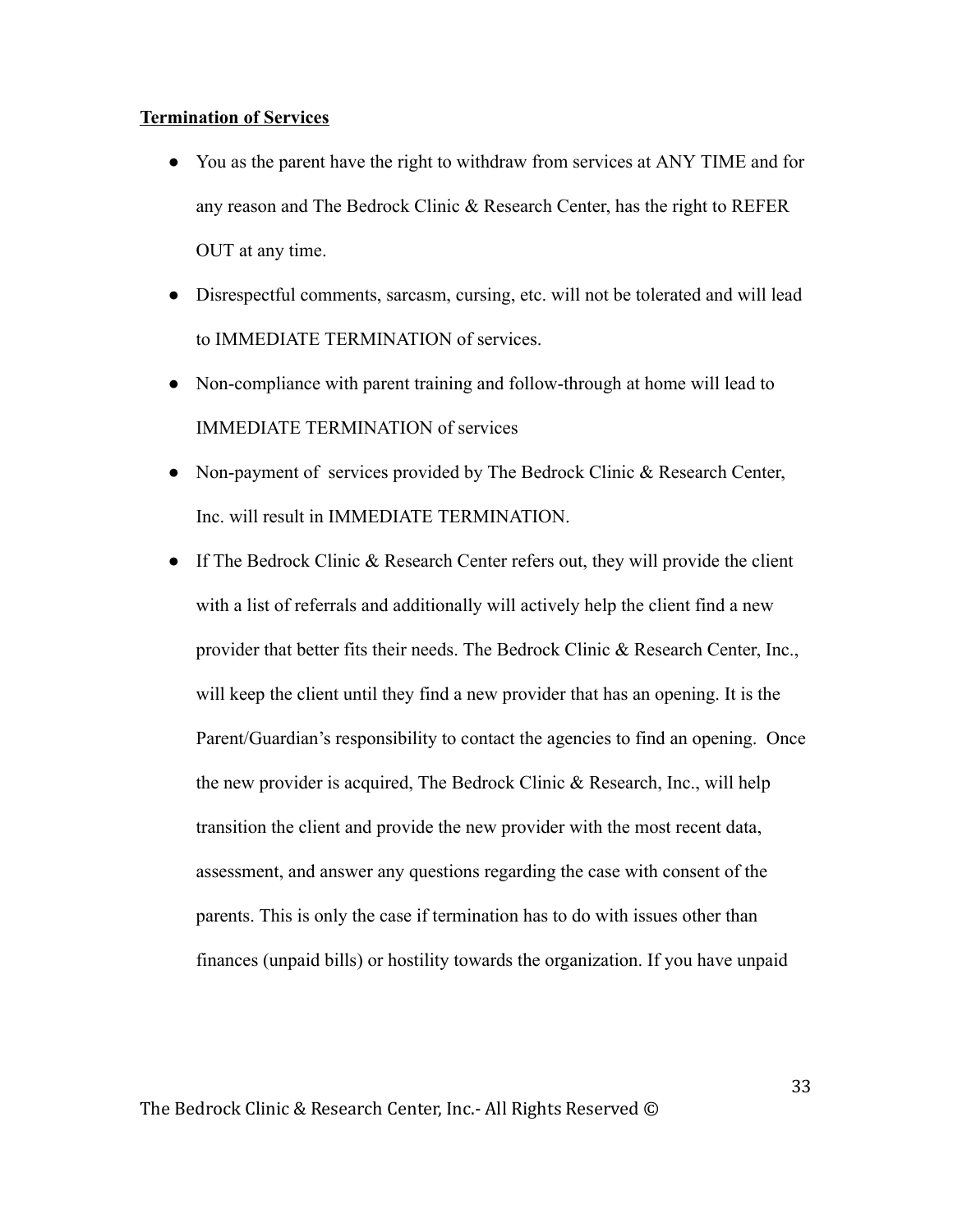#### Termination of Services

- You as the parent have the right to withdraw from services at ANY TIME and for any reason and The Bedrock Clinic & Research Center, has the right to REFER OUT at any time.
- Disrespectful comments, sarcasm, cursing, etc. will not be tolerated and will lead to IMMEDIATE TERMINATION of services.
- Non-compliance with parent training and follow-through at home will lead to IMMEDIATE TERMINATION of services
- Non-payment of services provided by The Bedrock Clinic & Research Center, Inc. will result in IMMEDIATE TERMINATION.
- If The Bedrock Clinic & Research Center refers out, they will provide the client with a list of referrals and additionally will actively help the client find a new provider that better fits their needs. The Bedrock Clinic & Research Center, Inc., will keep the client until they find a new provider that has an opening. It is the Parent/Guardian's responsibility to contact the agencies to find an opening. Once the new provider is acquired, The Bedrock Clinic & Research, Inc., will help transition the client and provide the new provider with the most recent data, assessment, and answer any questions regarding the case with consent of the parents. This is only the case if termination has to do with issues other than finances (unpaid bills) or hostility towards the organization. If you have unpaid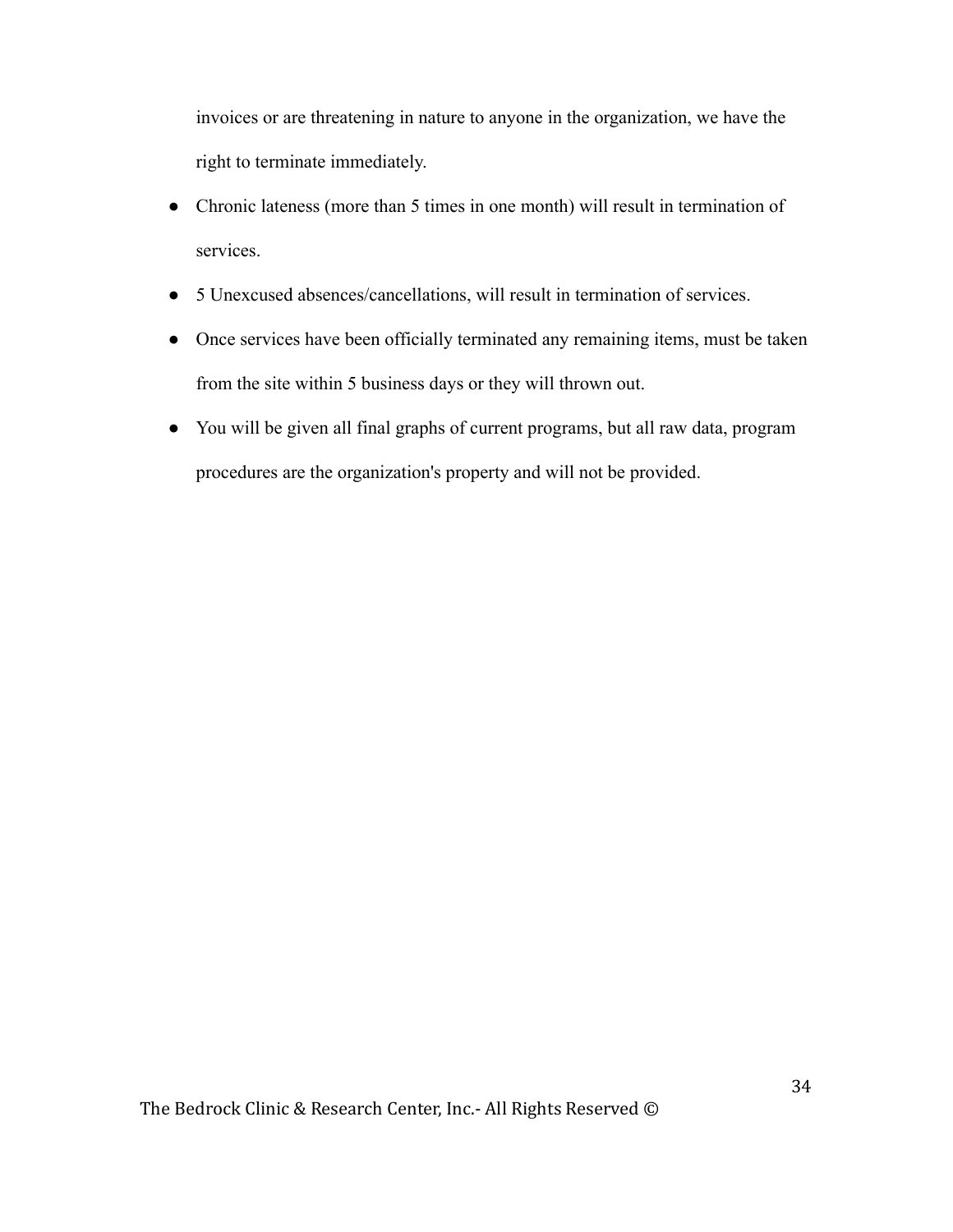invoices or are threatening in nature to anyone in the organization, we have the right to terminate immediately.

- Chronic lateness (more than 5 times in one month) will result in termination of services.
- 5 Unexcused absences/cancellations, will result in termination of services.
- Once services have been officially terminated any remaining items, must be taken from the site within 5 business days or they will thrown out.
- You will be given all final graphs of current programs, but all raw data, program procedures are the organization's property and will not be provided.